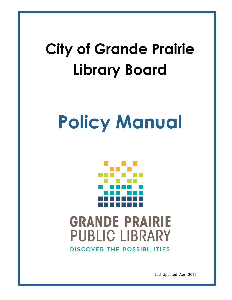## **City of Grande Prairie Library Board**

# **Policy Manual**



## **GRANDE PRAIRIE PUBLIC LIBRARY DISCOVER THE POSSIBILITIES**

Last Updated: April 2022

0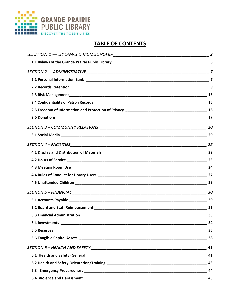

### **TABLE OF CONTENTS**

| - 34 |
|------|
|      |
|      |
| 41   |
|      |
|      |
| -44  |
|      |
|      |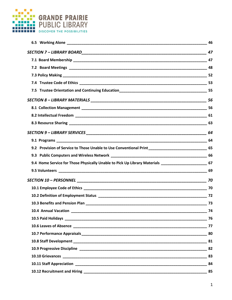

| 9.2 Provision of Service to Those Unable to Use Conventional Print ________________________________ 65 |        |
|--------------------------------------------------------------------------------------------------------|--------|
|                                                                                                        |        |
| 9.4 Home Service for Those Physically Unable to Pick Up Library Materials _________________________ 67 |        |
|                                                                                                        |        |
|                                                                                                        |        |
|                                                                                                        |        |
|                                                                                                        |        |
|                                                                                                        |        |
| 10.4 Annual Vacation _______                                                                           | $- 74$ |
|                                                                                                        |        |
|                                                                                                        |        |
|                                                                                                        |        |
|                                                                                                        |        |
|                                                                                                        |        |
|                                                                                                        |        |
|                                                                                                        |        |
|                                                                                                        |        |
|                                                                                                        |        |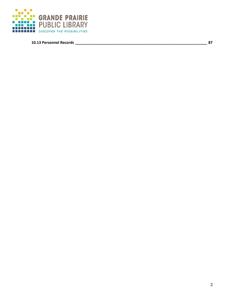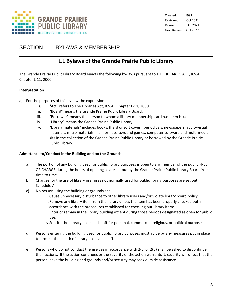

### SECTION 1 — BYLAWS & MEMBERSHIP

### **1.1 Bylaws of the Grande Prairie Public Library**

The Grande Prairie Public Library Board enacts the following by-laws pursuant to **THE LIBRARIES ACT**, R.S.A. Chapter L-11, 2000

### **Interpretation**

- a) For the purposes of this by-law the expression:
	- i. "Act" refers to The Libraries Act, R.S.A., Chapter L-11, 2000.
	- ii. "Board" means the Grande Prairie Public Library Board.
	- iii. "Borrower" means the person to whom a library membership card has been issued.
	- iv. "Library" means the Grande Prairie Public Library
	- v. "Library materials" includes books, (hard or soft cover), periodicals, newspapers, audio-visual materials, micro materials in all formats, toys and games, computer software and multi-media kits in the collection of the Grande Prairie Public Library or borrowed by the Grande Prairie Public Library.

### **Admittance to/Conduct in the Building and on the Grounds**

- a) The portion of any building used for public library purposes is open to any member of the public FREE OF CHARGE during the hours of opening as are set out by the Grande Prairie Public Library Board from time to time.
- b) Charges for the use of library premises not normally used for public library purposes are set out in Schedule A.
- c) No person using the building or grounds shall:
	- i.Cause unnecessary disturbance to other library users and/or violate library board policy.
	- ii.Remove any library item from the library unless the item has been properly checked out in accordance with the procedures established for checking out library items.
	- iii.Enter or remain in the library building except during those periods designated as open for public use.
	- iv.Solicit other library users and staff for personal, commercial, religious, or political purposes.
- d) Persons entering the building used for public library purposes must abide by any measures put in place to protect the health of library users and staff.
- e) Persons who do not conduct themselves in accordance with 2(c) or 2(d) shall be asked to discontinue their actions. If the action continues or the severity of the action warrants it, security will direct that the person leave the building and grounds and/or security may seek outside assistance.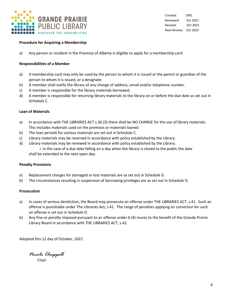

### **Procedure for Acquiring a Membership**

a) Any person or resident in the Province of Alberta is eligible to apply for a membership card.

#### **Responsibilities of a Member**

- a) A membership card may only be used by the person to whom it is issued or the parent or guardian of the person to whom it is issued, or a designate.
- b) A member shall notify the library of any change of address, email and/or telephone number.
- c) A member is responsible for the library materials borrowed.
- d) A member is responsible for returning library materials to the library on or before the due date as set out in Schedule C.

#### **Loan of Materials**

- a) In accordance with THE LIBRARIES ACT s.36 (3) there shall be NO CHARGE for the use of library materials. This includes materials used on the premises or materials loaned.
- b) The loan periods for various materials are set out in Schedule C.
- c) Library materials may be reserved in accordance with policy established by the Library.
- d) Library materials may be renewed in accordance with policy established by the Library.

i. In the case of a due date falling on a day when the library is closed to the public the date shall be extended to the next open day.

#### **Penalty Provisions**

- a) Replacement charges for damaged or lost materials are as set out in Schedule D.
- b) The circumstances resulting in suspension of borrowing privileges are as set out in Schedule D.

#### **Prosecution**

- a) In cases of serious dereliction, the Board may prosecute an offense under THE LIBRARIES ACT, s.41. Such an offense is punishable under The Libraries Act, s.41. The range of penalties applying on conviction for such an offense is set out in Schedule D.
- b) Any fine or penalty imposed pursuant to an offense under 6 (4) inures to the benefit of the Grande Prairie Library Board in accordance with THE LIBRARIES ACT, s.42.

Adopted this 12 day of October, 2021

*Nicole Chappell* Chair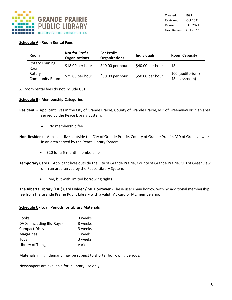

### **Schedule A - Room Rental Fees**

| <b>Room</b>                     | <b>Not for Profit</b><br><b>Organizations</b> | <b>For Profit</b><br><b>Organizations</b> | <b>Individuals</b> | <b>Room Capacity</b>               |
|---------------------------------|-----------------------------------------------|-------------------------------------------|--------------------|------------------------------------|
| <b>Rotary Training</b><br>Room  | $$18.00$ per hour                             | $$40.00$ per hour                         | \$40.00 per hour   | 18                                 |
| Rotary<br><b>Community Room</b> | \$25.00 per hour                              | \$50.00 per hour                          | \$50.00 per hour   | 100 (auditorium)<br>48 (classroom) |

All room rental fees do not include GST.

### **Schedule B - Membership Categories**

- **Resident** Applicant lives in the City of Grande Prairie, County of Grande Prairie, MD of Greenview or in an area served by the Peace Library System.
	- No membership fee
- **Non-Resident** Applicant lives outside the City of Grande Prairie, County of Grande Prairie, MD of Greenview or in an area served by the Peace Library System.
	- \$20 for a 6-month membership
- **Temporary Cards** Applicant lives outside the City of Grande Prairie, County of Grande Prairie, MD of Greenview or in an area served by the Peace Library System.
	- Free, but with limited borrowing rights

**The Alberta Library (TAL) Card Holder / ME Borrower** - These users may borrow with no additional membership fee from the Grande Prairie Public Library with a valid TAL card or ME membership.

### **Schedule C - Loan Periods for Library Materials**

| <b>Books</b>              | 3 weeks |
|---------------------------|---------|
| DVDs (including Blu-Rays) | 3 weeks |
| <b>Compact Discs</b>      | 3 weeks |
| <b>Magazines</b>          | 1 week  |
| Toys                      | 3 weeks |
| Library of Things         | various |

Materials in high demand may be subject to shorter borrowing periods.

Newspapers are available for in library use only.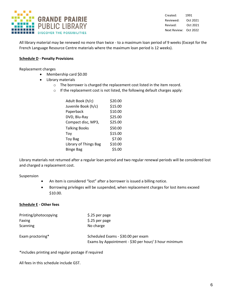

Created: 1991 Reviewed: Oct 2021 Revised: Oct 2021 Next Review: Oct 2022

All library material may be renewed no more than twice - to a maximum loan period of 9 weeks (Except for the French Language Resource Centre materials where the maximum loan period is 12 weeks).

### **Schedule D - Penalty Provisions**

Replacement charges

- Membership card \$0.00
- Library materials
	- o The borrower is charged the replacement cost listed in the item record.
	- o If the replacement cost is not listed, the following default charges apply:

| Adult Book (h/c)      | \$20.00 |
|-----------------------|---------|
| Juvenile Book (h/c)   | \$15.00 |
| Paperback             | \$10.00 |
| DVD, Blu-Ray          | \$25.00 |
| Compact disc, MP3,    | \$25.00 |
| <b>Talking Books</b>  | \$50.00 |
| Toy                   | \$15.00 |
| <b>Toy Bag</b>        | \$7.00  |
| Library of Things Bag | \$10.00 |
| <b>Binge Bag</b>      | \$5.00  |

Library materials not returned after a regular loan period and two regular renewal periods will be considered lost and charged a replacement cost.

Suspension

- An item is considered "lost" after a borrower is issued a billing notice.
- Borrowing privileges will be suspended, when replacement charges for lost items exceed \$10.00.

### **Schedule E - Other fees**

| Printing/photocopying | \$.25 per page                                                                             |
|-----------------------|--------------------------------------------------------------------------------------------|
| Faxing                | \$.25 per page                                                                             |
| Scanning              | No charge                                                                                  |
| Exam proctoring*      | Scheduled Exams - \$30.00 per exam<br>Exams by Appointment - \$30 per hour/ 3 hour minimum |

\*includes printing and regular postage if required

All fees in this schedule include GST.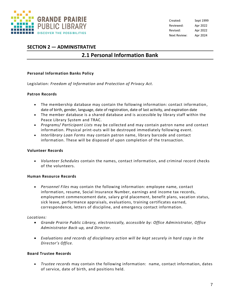

### **SECTION 2 — ADMINISTRATIVE**

### **2.1 Personal Information Bank**

### **Personal Information Banks Policy**

Legislation: *Freedom of Information and Protection of Privacy Act.*

### **Patron Records**

- The membership database may contain the following information: contact information, date of birth, gender, language, date of registration, date of last activity, and expiration date
- The member database is a shared database and is accessible by library staff within the Peace Library System and TRAC.
- *Programs/ Participant Lists* may be collected and may contain patron name and contact information. Physical print-outs will be destroyed immediately following event.
- *Interlibrary Loan Forms* may contain patron name, library barcode and contact information. These will be disposed of upon completion of the transaction.

#### **Volunteer Records**

• *Volunteer Schedules* contain the names, contact information, and criminal record checks of the volunteers.

#### **Human Resource Records**

• *Personnel Files* may contain the following information: employee name, contact information, resume, Social Insurance Number, earnings and income tax records, employment commencement date, salary grid placement, benefit plans, vacation status, sick leave, performance appraisals, evaluations, training certificates earned, correspondence, letters of discipline, and emergency contact information.

### *Locations:*

- *Grande Prairie Public Library, electronically, accessible by: Office Administrator, Office Administrator Back-up, and Director.*
- *Evaluations and records of disciplinary action will be kept securely in hard copy in the Director's Office.*

#### **Board Trustee Records**

• *Trustee records* may contain the following information: name, contact information, dates of service, date of birth, and positions held.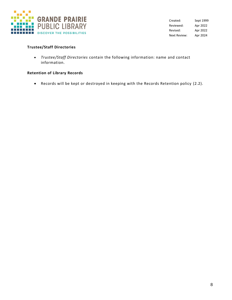

### **Trustee/Staff Directories**

• *Trustee/Staff Directories* contain the following information: name and contact information.

### **Retention of Library Records**

• Records will be kept or destroyed in keeping with the Records Retention policy (2.2).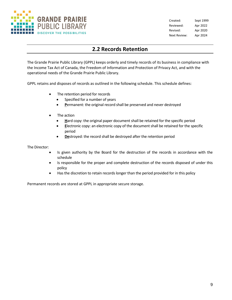

### **2.2 Records Retention**

The Grande Prairie Public Library (GPPL) keeps orderly and timely records of its business in compliance with the Income Tax Act of Canada, the Freedom of Information and Protection of Privacy Act, and with the operational needs of the Grande Prairie Public Library.

GPPL retains and disposes of records as outlined in the following schedule. This schedule defines:

- The retention period for records
	- Specified for a number of years
	- **P**ermanent: the original record shall be preserved and never destroyed
- The action
	- Hard copy: the original paper document shall be retained for the specific period
	- **E**lectronic copy: an electronic copy of the document shall be retained for the specific period
	- **De**stroyed: the record shall be destroyed after the retention period

The Director:

- Is given authority by the Board for the destruction of the records in accordance with the schedule
- Is responsible for the proper and complete destruction of the records disposed of under this policy
- Has the discretion to retain records longer than the period provided for in this policy

Permanent records are stored at GPPL in appropriate secure storage.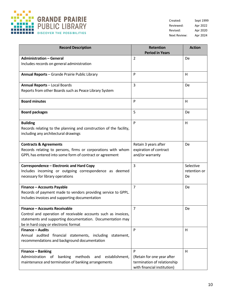

| <b>Record Description</b>                                                                                                                                                                                    | <b>Retention</b><br><b>Period in Years</b>                                                    | <b>Action</b>                   |
|--------------------------------------------------------------------------------------------------------------------------------------------------------------------------------------------------------------|-----------------------------------------------------------------------------------------------|---------------------------------|
| <b>Administration - General</b>                                                                                                                                                                              | $\overline{2}$                                                                                | De                              |
| Includes records on general administration                                                                                                                                                                   |                                                                                               |                                 |
| Annual Reports - Grande Prairie Public Library                                                                                                                                                               | P                                                                                             | н                               |
| <b>Annual Reports - Local Boards</b>                                                                                                                                                                         | 3                                                                                             | De                              |
| Reports from other Boards such as Peace Library System                                                                                                                                                       |                                                                                               |                                 |
| <b>Board minutes</b>                                                                                                                                                                                         | P                                                                                             | H                               |
| <b>Board packages</b>                                                                                                                                                                                        | 5                                                                                             | De                              |
| <b>Building</b><br>Records relating to the planning and construction of the facility,<br>including any architectural drawings                                                                                | P                                                                                             | Н                               |
| <b>Contracts &amp; Agreements</b><br>Records relating to persons, firms or corporations with whom<br>GPPL has entered into some form of contract or agreement                                                | Retain 3 years after<br>expiration of contract<br>and/or warranty                             | De                              |
| Correspondence - Electronic and Hard Copy<br>Includes incoming or outgoing correspondence as deemed<br>necessary for library operations                                                                      | 3                                                                                             | Selective<br>retention or<br>De |
| <b>Finance - Accounts Payable</b><br>Records of payment made to vendors providing service to GPPL.<br>Includes invoices and supporting documentation                                                         | $\overline{7}$                                                                                | De                              |
| <b>Finance - Accounts Receivable</b><br>Control and operation of receivable accounts such as invoices,<br>statements and supporting documentation. Documentation may<br>be in hard copy or electronic format | $\overline{7}$                                                                                | De                              |
| <b>Finance - Audits</b><br>Annual audited<br>financial statements, including<br>statement,<br>recommendations and background documentation                                                                   | P                                                                                             | H                               |
| Finance - Banking<br>Administration<br>banking<br>methods<br>establishment,<br>of<br>and<br>maintenance and termination of banking arrangements                                                              | P<br>(Retain for one year after<br>termination of relationship<br>with financial institution) | Н                               |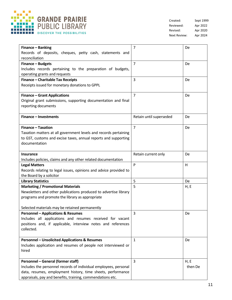

| Finance - Banking                                                          | $\overline{7}$          | De      |
|----------------------------------------------------------------------------|-------------------------|---------|
| Records of deposits, cheques, petty cash, statements and                   |                         |         |
| reconciliation                                                             |                         |         |
| Finance - Budgets                                                          | $\overline{7}$          | De      |
| Includes records pertaining to the preparation of budgets,                 |                         |         |
| operating grants and requests                                              |                         |         |
| Finance - Charitable Tax Receipts                                          | $\overline{3}$          | De      |
| Receipts issued for monetary donations to GPPL                             |                         |         |
|                                                                            |                         |         |
| <b>Finance - Grant Applications</b>                                        | $\overline{7}$          | De      |
| Original grant submissions, supporting documentation and final             |                         |         |
| reporting documents                                                        |                         |         |
|                                                                            |                         |         |
| <b>Finance - Investments</b>                                               | Retain until superseded | De      |
|                                                                            |                         |         |
| Finance - Taxation                                                         | $\overline{7}$          | De      |
| Taxation matters at all government levels and records pertaining           |                         |         |
| to GST, customs and excise taxes, annual reports and supporting            |                         |         |
| documentation                                                              |                         |         |
|                                                                            |                         |         |
| <b>Insurance</b>                                                           | Retain current only     | De      |
| Includes policies, claims and any other related documentation              |                         |         |
| <b>Legal Matters</b>                                                       | P                       | H       |
| Records relating to legal issues, opinions and advice provided to          |                         |         |
| the Board by a solicitor                                                   |                         |         |
| <b>Library Statistics</b>                                                  | 5                       | De      |
| <b>Marketing / Promotional Materials</b>                                   | 5                       | H, E    |
| Newsletters and other publications produced to advertise library           |                         |         |
| programs and promote the library as appropriate                            |                         |         |
|                                                                            |                         |         |
| Selected materials may be retained permanently                             |                         |         |
| <b>Personnel - Applications &amp; Resumes</b>                              | 3                       | De      |
| Includes all applications and resumes received for vacant                  |                         |         |
| positions and, if applicable, interview notes and references<br>collected. |                         |         |
|                                                                            |                         |         |
| <b>Personnel - Unsolicited Applications &amp; Resumes</b>                  | $\mathbf{1}$            | De      |
| Includes application and resumes of people not interviewed or              |                         |         |
| hired                                                                      |                         |         |
|                                                                            |                         |         |
| <b>Personnel - General (former staff)</b>                                  | 3                       | H, E    |
| Includes the personnel records of individual employees, personal           |                         | then De |
| data, resumes, employment history, time sheets, performance                |                         |         |
| appraisals, pay and benefits, training, commendations etc.                 |                         |         |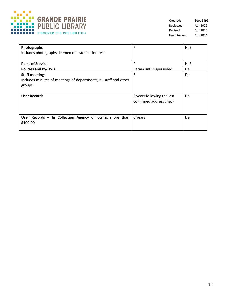

| Photographs<br>Includes photographs deemed of historical interest                                   | P                                                     | H, E |
|-----------------------------------------------------------------------------------------------------|-------------------------------------------------------|------|
| <b>Plans of Service</b>                                                                             | P                                                     | H, E |
| <b>Policies and By-laws</b>                                                                         | Retain until superseded                               | De   |
| <b>Staff meetings</b><br>Includes minutes of meetings of departments, all staff and other<br>groups | 3                                                     | De   |
| <b>User Records</b>                                                                                 | 3 years following the last<br>confirmed address check | De   |
| User Records - In Collection Agency or owing more than<br>\$100.00                                  | 6 years                                               | De   |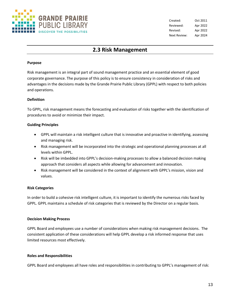

### **2.3 Risk Management**

### **Purpose**

Risk management is an integral part of sound management practice and an essential element of good corporate governance. The purpose of this policy is to ensure consistency in consideration of risks and advantages in the decisions made by the Grande Prairie Public Library (GPPL) with respect to both policies and operations.

### **Definition**

To GPPL, risk management means the forecasting and evaluation of risks together with the identification of procedures to avoid or minimize their impact.

### **Guiding Principles**

- GPPL will maintain a risk intelligent culture that is innovative and proactive in identifying, assessing and managing risk.
- Risk management will be incorporated into the strategic and operational planning processes at all levels within GPPL.
- Risk will be imbedded into GPPL's decision-making processes to allow a balanced decision making approach that considers all aspects while allowing for advancement and innovation.
- Risk management will be considered in the context of alignment with GPPL's mission, vision and values.

### **Risk Categories**

In order to build a cohesive risk intelligent culture, it is important to identify the numerous risks faced by GPPL. GPPL maintains a schedule of risk categories that is reviewed by the Director on a regular basis.

### **Decision Making Process**

GPPL Board and employees use a number of considerations when making risk management decisions. The consistent application of these considerations will help GPPL develop a risk informed response that uses limited resources most effectively.

### **Roles and Responsibilities**

GPPL Board and employees all have roles and responsibilities in contributing to GPPL's management of risk: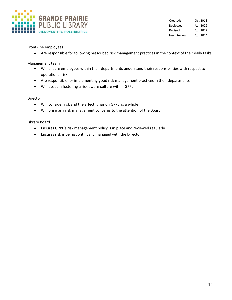

### Front-line employees

• Are responsible for following prescribed risk management practices in the context of their daily tasks

### Management team

- Will ensure employees within their departments understand their responsibilities with respect to operational risk
- Are responsible for implementing good risk management practices in their departments
- Will assist in fostering a risk aware culture within GPPL

### **Director**

- Will consider risk and the affect it has on GPPL as a whole
- Will bring any risk management concerns to the attention of the Board

### Library Board

- Ensures GPPL's risk management policy is in place and reviewed regularly
- Ensures risk is being continually managed with the Director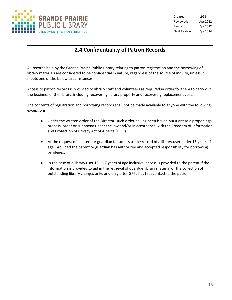

### **2.4 Confidentiality of Patron Records**

All records held by the Grande Prairie Public Library relating to patron registration and the borrowing of library materials are considered to be confidential in nature, regardless of the source of inquiry, unless it meets one of the below circumstances.

Access to patron records is provided to library staff and volunteers as required in order for them to carry out the business of the library, including recovering library property and recovering replacement costs.

The contents of registration and borrowing records shall not be made available to anyone with the following exceptions:

- Under the written order of the Director, such order having been issued pursuant to a proper legal process, order or subpoena under the law and/or in accordance with the Freedom of Information and Protection of Privacy Act of Alberta (FOIP).
- At the request of a parent or guardian for access to the record of a library user under 15 years of age, provided the parent or guardian has authorized and accepted responsibility for borrowing privileges.
- $\bullet$  In the case of a library user 15 17 years of age inclusive, access is provided to the parent if the information is provided to aid in the retrieval of overdue library material or the collection of outstanding library charges only, and only after GPPL has first contacted the patron.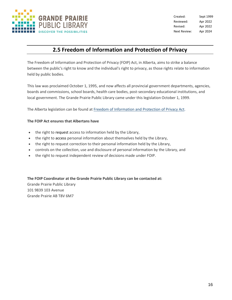

### **2.5 Freedom of Information and Protection of Privacy**

The Freedom of Information and Protection of Privacy (FOIP) Act, in Alberta, aims to strike a balance between the public's right to know and the individual's right to privacy, as those rights relate to information held by public bodies.

This law was proclaimed October 1, 1995, and now affects all provincial government departments, agencies, boards and commissions, school boards, health care bodies, post-secondary educational institutions, and local government. The Grande Prairie Public Library came under this legislation October 1, 1999.

The Alberta legislation can be found at Freedom of [Information](http://www.servicealberta.ca/foip) and Protection of Privacy Act.

### **The FOIP Act ensures that Albertans have**

- the right to [request](http://www.calgary.ca/CA/city-clerks/Pages/Freedom-of-Information-and-Protection-of-Privacy/How-to-Make-a-FOIP-Request.aspx) access to information held by the Library,
- the right to [access](http://www.calgary.ca/CA/city-clerks/Pages/Freedom-of-Information-and-Protection-of-Privacy/Privacy-and-Access.aspx) personal information about themselves held by the Library,
- the right to request correction to their personal information held by the Library,
- controls on the collection, use and disclosure of personal information by the Library, and
- the right to request independent review of decisions made under FOIP.

**The FOIP Coordinator at the Grande Prairie Public Library can be contacted at:**

Grande Prairie Public Library 101 9839 103 Avenue Grande Prairie AB T8V 6M7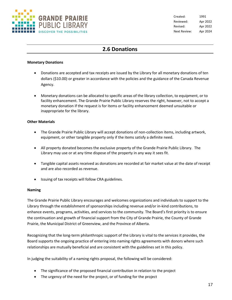

### **2.6 Donations**

### **Monetary Donations**

- Donations are accepted and tax receipts are issued by the Library for all monetary donations of ten dollars (\$10.00) or greater in accordance with the policies and the guidance of the Canada Revenue Agency.
- Monetary donations can be allocated to specific areas of the library collection, to equipment, or to facility enhancement. The Grande Prairie Public Library reserves the right, however, not to accept a monetary donation if the request is for items or facility enhancement deemed unsuitable or inappropriate for the library.

### **Other Materials**

- The Grande Prairie Public Library will accept donations of non-collection items, including artwork, equipment, or other tangible property only if the items satisfy a definite need.
- All property donated becomes the exclusive property of the Grande Prairie Public Library. The Library may use or at any time dispose of the property in any way it sees fit.
- Tangible capital assets received as donations are recorded at fair market value at the date of receipt and are also recorded as revenue.
- Issuing of tax receipts will follow CRA guidelines.

#### **Naming**

The Grande Prairie Public Library encourages and welcomes organizations and individuals to support to the Library through the establishment of sponsorships including revenue and/or in-kind contributions, to enhance events, programs, activities, and services to the community. The Board's first priority is to ensure the continuation and growth of financial support from the City of Grande Prairie, the County of Grande Prairie, the Municipal District of Greenview, and the Province of Alberta.

Recognizing that the long-term philanthropic support of the Library is vital to the services it provides, the Board supports the ongoing practice of entering into naming rights agreements with donors where such relationships are mutually beneficial and are consistent with the guidelines set in this policy.

In judging the suitability of a naming rights proposal, the following will be considered:

- The significance of the proposed financial contribution in relation to the project
- The urgency of the need for the project, or of funding for the project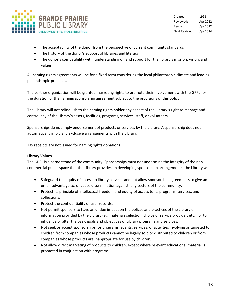

- The acceptability of the donor from the perspective of current community standards
- The history of the donor's support of libraries and literacy
- The donor's compatibility with, understanding of, and support for the library's mission, vision, and values

All naming rights agreements will be for a fixed term considering the local philanthropic climate and leading philanthropic practices.

The partner organization will be granted marketing rights to promote their involvement with the GPPL for the duration of the naming/sponsorship agreement subject to the provisions of this policy.

The Library will not relinquish to the naming rights holder any aspect of the Library's right to manage and control any of the Library's assets, facilities, programs, services, staff, or volunteers.

Sponsorships do not imply endorsement of products or services by the Library. A sponsorship does not automatically imply any exclusive arrangements with the Library.

Tax receipts are not issued for naming rights donations.

### **Library Values**

The GPPL is a cornerstone of the community. Sponsorships must not undermine the integrity of the noncommercial public space that the Library provides. In developing sponsorship arrangements, the Library will:

- Safeguard the equity of access to library services and not allow sponsorship agreements to give an unfair advantage to, or cause discrimination against, any sectors of the community;
- Protect its principle of intellectual freedom and equity of access to its programs, services, and collections;
- Protect the confidentiality of user records;
- Not permit sponsors to have an undue impact on the polices and practices of the Library or information provided by the Library (eg. materials selection, choice of service provider, etc.), or to influence or alter the basic goals and objectives of Library programs and services;
- Not seek or accept sponsorships for programs, events, services, or activities involving or targeted to children from companies whose products cannot be legally sold or distributed to children or from companies whose products are inappropriate for use by children;
- Not allow direct marketing of products to children, except where relevant educational material is promoted in conjunction with programs.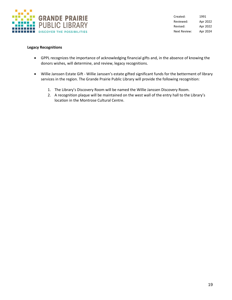

#### **Legacy Recognitions**

- GPPL recognizes the importance of acknowledging financial gifts and, in the absence of knowing the donors wishes, will determine, and review, legacy recognitions.
- Willie Janssen Estate Gift Willie Janssen's estate gifted significant funds for the betterment of library services in the region. The Grande Prairie Public Library will provide the following recognition:
	- 1. The Library's Discovery Room will be named the Willie Janssen Discovery Room.
	- 2. A recognition plaque will be maintained on the west wall of the entry hall to the Library's location in the Montrose Cultural Centre.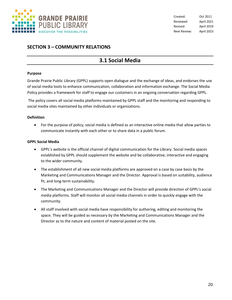

### **SECTION 3 – COMMUNITY RELATIONS**

### **3.1 Social Media**

#### **Purpose**

Grande Prairie Public Library (GPPL) supports open dialogue and the exchange of ideas, and endorses the use of social media tools to enhance communication, collaboration and information exchange. The Social Media Policy provides a framework for staff to engage our customers in an ongoing conversation regarding GPPL.

The policy covers all social media platforms maintained by GPPL staff and the monitoring and responding to social media sites maintained by other individuals or organizations.

### **Definition**

• For the purpose of policy, social media is defined as an interactive online media that allow parties to communicate instantly with each other or to share data in a public forum.

### **GPPL Social Media**

- GPPL's website is the official channel of digital communication for the Library. Social media spaces established by GPPL should supplement the website and be collaborative, interactive and engaging to the wider community.
- The establishment of all new social media platforms are approved on a case by case basis by the Marketing and Communications Manager and the Director. Approval is based on suitability, audience fit, and long-term sustainability.
- The Marketing and Communications Manager and the Director will provide direction of GPPL's social media platforms. Staff will monitor all social media channels in order to quickly engage with the community.
- All staff involved with social media have responsibility for authoring, editing and monitoring the space. They will be guided as necessary by the Marketing and Communications Manager and the Director as to the nature and content of material posted on the site.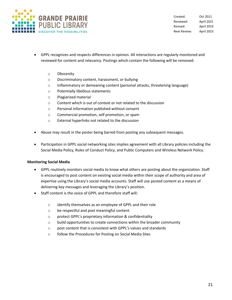

Created: Oct 2011 Reviewed: April 2021 Revised: April 2019 Next Review: April 2023

- GPPL recognizes and respects differences in opinion. All interactions are regularly monitored and reviewed for content and relevancy. Postings which contain the following will be removed:
	- o Obscenity
	- o Discriminatory content, harassment, or bullying
	- o Inflammatory or demeaning content (personal attacks, threatening language)
	- o Potentially libellous statements
	- o Plagiarized material
	- o Content which is out of context or not related to the discussion
	- o Personal information published without consent
	- o Commercial promotion, self promotion, or spam
	- o External hyperlinks not related to the discussion
- Abuse may result in the poster being barred from posting any subsequent messages.
- Participation in GPPL social networking sites implies agreement with all Library policies including the Social Media Policy, Rules of Conduct Policy, and Public Computers and Wireless Network Policy.

### **Monitoring Social Media**

- GPPL routinely monitors social media to know what others are posting about the organization. Staff is encouraged to post content on existing social media within their scope of authority and area of expertise using the Library's social media accounts. Staff will use posted content as a means of delivering key messages and leveraging the Library's position.
- Staff content is the voice of GPPL and therefore staff will:
	- o identify themselves as an employee of GPPL and their role
	- o be respectful and post meaningful content
	- o protect GPPL's proprietary information & confidentiality
	- $\circ$  build opportunities to create connections within the broader community
	- o post content that is consistent with GPPL's values and standards
	- o follow the Procedures for Posting on Social Media Sites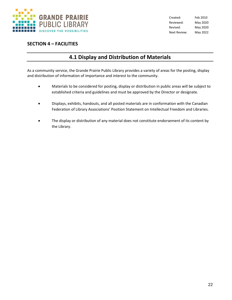

### **SECTION 4 – FACILITIES**

### **4.1 Display and Distribution of Materials**

As a community service, the Grande Prairie Public Library provides a variety of areas for the posting, display and distribution of information of importance and interest to the community.

- Materials to be considered for posting, display or distribution in public areas will be subject to established criteria and guidelines and must be approved by the Director or designate.
- Displays, exhibits, handouts, and all posted materials are in conformation with the Canadian Federation of Library Associations' Position Statement on Intellectual Freedom and Libraries.
- The display or distribution of any material does not constitute endorsement of its content by the Library.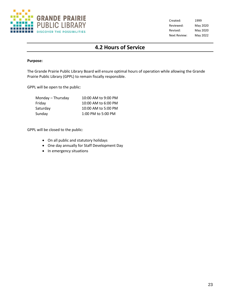

### **4.2 Hours of Service**

### **Purpose:**

The Grande Prairie Public Library Board will ensure optimal hours of operation while allowing the Grande Prairie Public Library (GPPL) to remain fiscally responsible.

GPPL will be open to the public:

| Monday - Thursday | 10:00 AM to 9:00 PM |
|-------------------|---------------------|
| Friday            | 10:00 AM to 6:00 PM |
| Saturday          | 10:00 AM to 5:00 PM |
| Sunday            | 1:00 PM to 5:00 PM  |

GPPL will be closed to the public:

- On all public and statutory holidays
- One day annually for Staff Development Day
- In emergency situations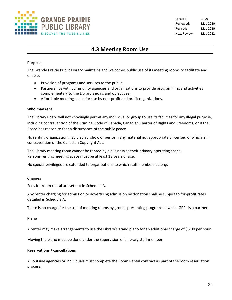

### **4.3 Meeting Room Use**

### **Purpose**

The Grande Prairie Public Library maintains and welcomes public use of its meeting rooms to facilitate and enable:

- Provision of programs and services to the public.
- Partnerships with community agencies and organizations to provide programming and activities complementary to the Library's goals and objectives.
- Affordable meeting space for use by non-profit and profit organizations.

### **Who may rent**

The Library Board will not knowingly permit any individual or group to use its facilities for any illegal purpose, including contravention of the Criminal Code of Canada, Canadian Charter of Rights and Freedoms, or if the Board has reason to fear a disturbance of the public peace.

No renting organization may display, show or perform any material not appropriately licensed or which is in contravention of the Canadian Copyright Act.

The Library meeting room cannot be rented by a business as their primary operating space. Persons renting meeting space must be at least 18 years of age.

No special privileges are extended to organizations to which staff members belong.

### **Charges**

Fees for room rental are set out in Schedule A.

Any renter charging for admission or advertising admission by donation shall be subject to for-profit rates detailed in Schedule A.

There is no charge for the use of meeting rooms by groups presenting programs in which GPPL is a partner.

### **Piano**

A renter may make arrangements to use the Library's grand piano for an additional charge of \$5.00 per hour.

Moving the piano must be done under the supervision of a library staff member.

### **Reservations / cancellations**

All outside agencies or individuals must complete the Room Rental contract as part of the room reservation process.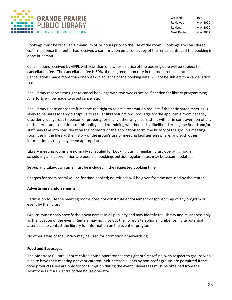

Bookings must be received a minimum of 24 hours prior to the use of the room. Bookings are considered confirmed once the renter has received a confirmation email or a copy of the rental contract if the booking is done in-person.

Cancellations received by GPPL with less than one week's notice of the booking date will be subject to a cancellation fee. The cancellation fee is 50% of the agreed upon rate in the room rental contract. Cancellations made more than one week in advance of the booking date will not be subject to a cancellation fee.

The Library reserves the right to cancel bookings with two weeks notice if needed for library programming. All efforts will be made to avoid cancellation.

The Library Board and/or staff reserve the right to reject a reservation request if the anticipated meeting is likely to be unreasonably disruptive to regular library functions, too large for the applicable room capacity, disorderly, dangerous to person or property, or in any other way inconsistent with or in contravention of any of the terms and conditions of this policy. In determining whether such a likelihood exists, the Board and/or staff may take into consideration the contents of the application form, the history of the group's meeting room use in the library, the history of the group's use of meeting facilities elsewhere, and such other information as they may deem appropriate.

Library meeting rooms are normally scheduled for booking during regular library operating hours. If scheduling and coordination are possible, bookings outside regular hours may be accommodated.

Set-up and take-down time must be included in the requested booking time.

Charges for room rental will be for time booked; no refunds will be given for time not used by the renter.

### **Advertising / Endorsements**

Permission to use the meeting rooms does not constitute endorsement or sponsorship of any program or event by the library.

Groups must clearly specify their own names in all publicity and may identify the Library and its address only as the location of the event. Renters may not give out the library's telephone number or invite potential attendees to contact the library for information on the event or program.

No other areas of the Library may be used for promotion or advertising.

#### **Food and Beverages**

The Montrose Cultural Centre coffee house operator has the right of first refusal with respect to groups who plan to have their meeting or event catered. Self-catered events by non-profit groups are permitted if the food products used are only for consumption during the event. Beverages must be obtained from the Montrose Cultural Centre coffee house operator.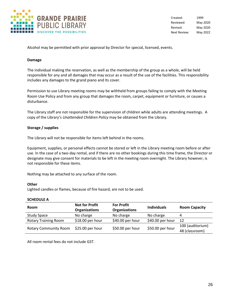

Alcohol may be permitted with prior approval by Director for special, licensed, events.

#### **Damage**

The individual making the reservation, as well as the membership of the group as a whole, will be held responsible for any and all damages that may occur as a result of the use of the facilities. This responsibility includes any damages to the grand piano and its cover.

Permission to use Library meeting rooms may be withheld from groups failing to comply with the Meeting Room Use Policy and from any group that damages the room, carpet, equipment or furniture, or causes a disturbance.

The Library staff are not responsible for the supervision of children while adults are attending meetings. A copy of the Library's *Unattended Children Policy* may be obtained from the Library.

### **Storage / supplies**

The Library will not be responsible for items left behind in the rooms.

Equipment, supplies, or personal effects cannot be stored or left in the Library meeting room before or after use. In the case of a two-day rental, and if there are no other bookings during this time frame, the Director or designate may give consent for materials to be left in the meeting room overnight. The Library however, is not responsible for these items.

Nothing may be attached to any surface of the room.

#### **Other**

Lighted candles or flames, because of fire hazard, are not to be used.

#### **SCHEDULE A**

| <b>Room</b>                  | <b>Not for Profit</b><br><b>Organizations</b> | <b>For Profit</b><br><b>Organizations</b> | <b>Individuals</b> | <b>Room Capacity</b> |
|------------------------------|-----------------------------------------------|-------------------------------------------|--------------------|----------------------|
| <b>Study Space</b>           | No charge                                     | No charge                                 | No charge          | 4                    |
| <b>Rotary Training Room</b>  | $$18.00$ per hour                             | \$40.00 per hour                          | \$40.00 per hour   | 12                   |
|                              | \$25.00 per hour                              | \$50.00 per hour                          | \$50.00 per hour   | 100 (auditorium)     |
| <b>Rotary Community Room</b> |                                               |                                           |                    | 48 (classroom)       |

All room rental fees do not include GST.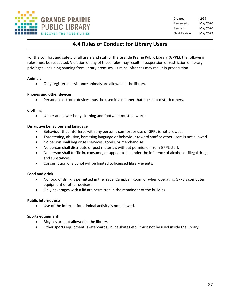

### **4.4 Rules of Conduct for Library Users**

For the comfort and safety of all users and staff of the Grande Prairie Public Library (GPPL), the following rules must be respected. Violation of any of these rules may result in suspension or restriction of library privileges, including banning from library premises. Criminal offences may result in prosecution.

### **Animals**

• Only registered assistance animals are allowed in the library.

### **Phones and other devices**

• Personal electronic devices must be used in a manner that does not disturb others.

### **Clothing**

• Upper and lower body clothing and footwear must be worn.

### **Disruptive behaviour and language**

- Behaviour that interferes with any person's comfort or use of GPPL is not allowed.
- Threatening, abusive, harassing language or behaviour toward staff or other users is not allowed.
- No person shall beg or sell services, goods, or merchandise.
- No person shall distribute or post materials without permission from GPPL staff.
- No person shall traffic in, consume, or appear to be under the influence of alcohol or illegal drugs and substances.
- Consumption of alcohol will be limited to licensed library events.

### **Food and drink**

- No food or drink is permitted in the Isabel Campbell Room or when operating GPPL's computer equipment or other devices.
- Only beverages with a lid are permitted in the remainder of the building.

### **Public Internet use**

• Use of the Internet for criminal activity is not allowed.

### **Sports equipment**

- Bicycles are not allowed in the library.
- Other sports equipment (skateboards, inline skates etc.) must not be used inside the library.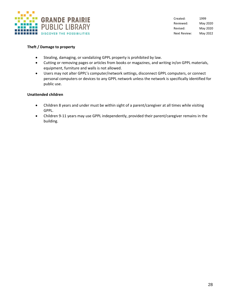

### **Theft / Damage to property**

- Stealing, damaging, or vandalizing GPPL property is prohibited by law.
- Cutting or removing pages or articles from books or magazines, and writing in/on GPPL materials, equipment, furniture and walls is not allowed.
- Users may not alter GPPL's computer/network settings, disconnect GPPL computers, or connect personal computers or devices to any GPPL network unless the network is specifically identified for public use.

### **Unattended children**

- Children 8 years and under must be within sight of a parent/caregiver at all times while visiting GPPL.
- Children 9-11 years may use GPPL independently, provided their parent/caregiver remains in the building.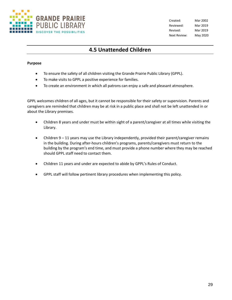

Created: Mar 2002 Reviewed: Mar 2019 Revised: Mar 2019 Next Review: May 2020

### **4.5 Unattended Children**

### **Purpose**

- To ensure the safety of all children visiting the Grande Prairie Public Library (GPPL).
- To make visits to GPPL a positive experience for families.
- To create an environment in which all patrons can enjoy a safe and pleasant atmosphere.

GPPL welcomes children of all ages, but it cannot be responsible for their safety or supervision. Parents and caregivers are reminded that children may be at risk in a public place and shall not be left unattended in or about the Library premises.

- Children 8 years and under must be within sight of a parent/caregiver at all times while visiting the Library.
- Children 9 11 years may use the Library independently, provided their parent/caregiver remains in the building. During after-hours children's programs, parents/caregivers must return to the building by the program's end time, and must provide a phone number where they may be reached should GPPL staff need to contact them.
- Children 11 years and under are expected to abide by GPPL's Rules of Conduct.
- GPPL staff will follow pertinent library procedures when implementing this policy.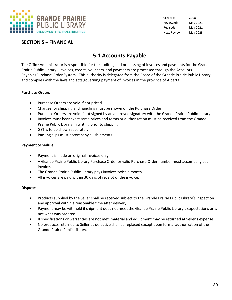

### **SECTION 5 – FINANCIAL**

### **5.1 Accounts Payable**

The Office Administrator is responsible for the auditing and processing of invoices and payments for the Grande Prairie Public Library. Invoices, credits, vouchers, and payments are processed through the Accounts Payable/Purchase Order System. This authority is delegated from the Board of the Grande Prairie Public Library and complies with the laws and acts governing payment of invoices in the province of Alberta.

### **Purchase Orders**

- Purchase Orders are void if not priced.
- Charges for shipping and handling must be shown on the Purchase Order.
- Purchase Orders are void if not signed by an approved signatory with the Grande Prairie Public Library.
- Invoices must bear exact same prices and terms or authorization must be received from the Grande Prairie Public Library in writing prior to shipping.
- GST is to be shown separately.
- Packing slips must accompany all shipments.

### **Payment Schedule**

- Payment is made on original invoices only.
- A Grande Prairie Public Library Purchase Order or valid Purchase Order number must accompany each invoice.
- The Grande Prairie Public Library pays invoices twice a month.
- All invoices are paid within 30 days of receipt of the invoice.

### **Disputes**

- Products supplied by the Seller shall be received subject to the Grande Prairie Public Library's inspection and approval within a reasonable time after delivery.
- Payment may be withheld if shipment does not meet the Grande Prairie Public Library's expectations or is not what was ordered.
- If specifications or warranties are not met, material and equipment may be returned at Seller's expense.
- No products returned to Seller as defective shall be replaced except upon formal authorization of the Grande Prairie Public Library.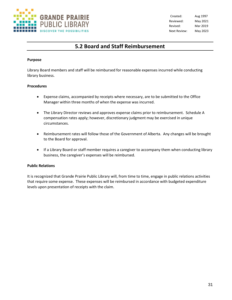

Created: Aug 1997 Reviewed: May 2021 Revised: Mar 2019 Next Review: May 2023

### **5.2 Board and Staff Reimbursement**

### **Purpose**

Library Board members and staff will be reimbursed for reasonable expenses incurred while conducting library business.

### **Procedures**

- Expense claims, accompanied by receipts where necessary, are to be submitted to the Office Manager within three months of when the expense was incurred.
- The Library Director reviews and approves expense claims prior to reimbursement. Schedule A compensation rates apply; however, discretionary judgment may be exercised in unique circumstances.
- Reimbursement rates will follow those of the Government of Alberta. Any changes will be brought to the Board for approval.
- If a Library Board or staff member requires a caregiver to accompany them when conducting library business, the caregiver's expenses will be reimbursed.

### **Public Relations**

It is recognized that Grande Prairie Public Library will, from time to time, engage in public relations activities that require some expense. These expenses will be reimbursed in accordance with budgeted expenditure levels upon presentation of receipts with the claim.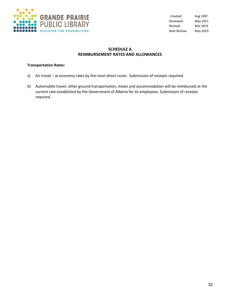

### **SCHEDULE A REIMBURSEMENT RATES AND ALLOWANCES**

### **Transportation Rates:**

- a) Air travel at economy rates by the most direct route. Submission of receipts required.
- b) Automobile travel, other ground transportation, meals and accommodation will be reimbursed at the current rate established by the Government of Alberta for its employees. Submission of receipts required.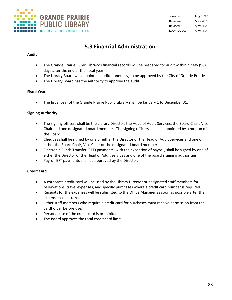

### **5.3 Financial Administration**

### **Audit**

- The Grande Prairie Public Library's financial records will be prepared for audit within ninety (90) days after the end of the fiscal year.
- The Library Board will appoint an auditor annually, to be approved by the City of Grande Prairie
- The Library Board has the authority to approve the audit.

### **Fiscal Year**

• The fiscal year of the Grande Prairie Public Library shall be January 1 to December 31.

### **Signing Authority**

- The signing officers shall be the Library Director, the Head of Adult Services, the Board Chair, Vice-Chair and one designated board member. The signing officers shall be appointed by a motion of the Board.
- Cheques shall be signed by one of either the Director or the Head of Adult Services and one of either the Board Chair, Vice Chair or the designated board member.
- Electronic Funds Transfer (EFT) payments, with the exception of payroll, shall be signed by one of either the Director or the Head of Adult services and one of the board's signing authorities.
- Payroll EFT payments shall be approved by the Director.

### **Credit Card**

- A corporate credit card will be used by the Library Director or designated staff members for reservations, travel expenses, and specific purchases where a credit card number is required.
- Receipts for the expenses will be submitted to the Office Manager as soon as possible after the expense has occurred.
- Other staff members who require a credit card for purchases must receive permission from the cardholder before use.
- Personal use of the credit card is prohibited.
- The Board approves the total credit card limit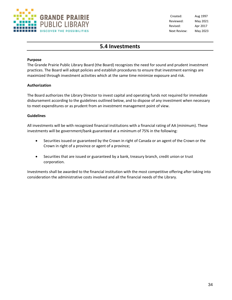

Created: Aug 1997 Reviewed: May 2021 Revised: Apr 2017 Next Review: May 2023

### **5.4 Investments**

### **Purpose**

The Grande Prairie Public Library Board (the Board) recognizes the need for sound and prudent investment practices. The Board will adopt policies and establish procedures to ensure that investment earnings are maximized through investment activities which at the same time minimize exposure and risk.

### **Authorization**

The Board authorizes the Library Director to invest capital and operating funds not required for immediate disbursement according to the guidelines outlined below, and to dispose of any investment when necessary to meet expenditures or as prudent from an investment management point of view.

### **Guidelines**

All investments will be with recognized financial institutions with a financial rating of AA (minimum). These investments will be government/bank guaranteed at a minimum of 75% in the following:

- Securities issued or guaranteed by the Crown in right of Canada or an agent of the Crown or the Crown in right of a province or agent of a province;
- Securities that are issued or guaranteed by a bank, treasury branch, credit union or trust corporation.

Investments shall be awarded to the financial institution with the most competitive offering after taking into consideration the administrative costs involved and all the financial needs of the Library.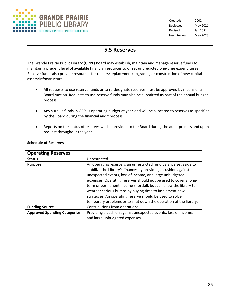

Created: 2002 Reviewed: May 2021 Revised: Jan 2021 Next Review: May 2023

# **5.5 Reserves**

The Grande Prairie Public Library (GPPL) Board may establish, maintain and manage reserve funds to maintain a prudent level of available financial resources to offset unpredicted one-time expenditures. Reserve funds also provide resources for repairs/replacement/upgrading or construction of new capital assets/infrastructure.

- All requests to use reserve funds or to re-designate reserves must be approved by means of a Board motion. Requests to use reserve funds may also be submitted as part of the annual budget process.
- Any surplus funds in GPPL's operating budget at year-end will be allocated to reserves as specified by the Board during the financial audit process.
- Reports on the status of reserves will be provided to the Board during the audit process and upon request throughout the year.

| <b>Operating Reserves</b>           |                                                                   |
|-------------------------------------|-------------------------------------------------------------------|
| <b>Status</b>                       | Unrestricted                                                      |
| <b>Purpose</b>                      | An operating reserve is an unrestricted fund balance set aside to |
|                                     | stabilize the Library's finances by providing a cushion against   |
|                                     | unexpected events, loss of income, and large unbudgeted           |
|                                     | expenses. Operating reserves should not be used to cover a long-  |
|                                     | term or permanent income shortfall, but can allow the library to  |
|                                     | weather serious bumps by buying time to implement new             |
|                                     | strategies. An operating reserve should be used to solve          |
|                                     | temporary problems or to shut down the operation of the library.  |
| <b>Funding Source</b>               | Contributions from operations                                     |
| <b>Approved Spending Categories</b> | Providing a cushion against unexpected events, loss of income,    |
|                                     | and large unbudgeted expenses.                                    |

# **Schedule of Reserves**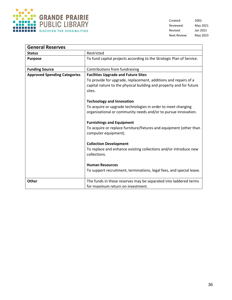

Created: 2002 Reviewed: May 2021 Revised: Jan 2021 Next Review: May 2023

| <b>General Reserves</b>             |                                                                                                                                                                                                |
|-------------------------------------|------------------------------------------------------------------------------------------------------------------------------------------------------------------------------------------------|
| <b>Status</b>                       | Restricted                                                                                                                                                                                     |
| <b>Purpose</b>                      | To fund capital projects according to the Strategic Plan of Service.                                                                                                                           |
| <b>Funding Source</b>               | Contributions from fundraising                                                                                                                                                                 |
| <b>Approved Spending Categories</b> | <b>Facilities Upgrade and Future Sites</b><br>To provide for upgrade, replacement, additions and repairs of a<br>capital nature to the physical building and property and for future<br>sites. |
|                                     | <b>Technology and Innovation</b><br>To acquire or upgrade technologies in order to meet changing<br>organizational or community needs and/or to pursue innovation.                             |
|                                     | <b>Furnishings and Equipment</b><br>To acquire or replace furniture/fixtures and equipment (other than<br>computer equipment).                                                                 |
|                                     | <b>Collection Development</b><br>To replace and enhance existing collections and/or introduce new<br>collections.                                                                              |
|                                     | <b>Human Resources</b><br>To support recruitment, terminations, legal fees, and special leave.                                                                                                 |
| <b>Other</b>                        | The funds in these reserves may be separated into laddered terms<br>for maximum return on investment.                                                                                          |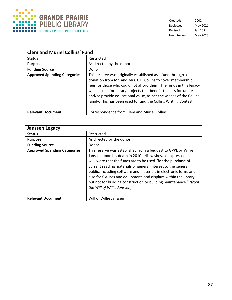

Created: 2002 Reviewed: May 2021 Revised: Jan 2021 Next Review: May 2023

| <b>Clem and Muriel Collins' Fund</b> |                                                                                                                                                                                                                                                                                                                                                                                                                |
|--------------------------------------|----------------------------------------------------------------------------------------------------------------------------------------------------------------------------------------------------------------------------------------------------------------------------------------------------------------------------------------------------------------------------------------------------------------|
| <b>Status</b>                        | Restricted                                                                                                                                                                                                                                                                                                                                                                                                     |
| <b>Purpose</b>                       | As directed by the donor                                                                                                                                                                                                                                                                                                                                                                                       |
| <b>Funding Source</b>                | Donor                                                                                                                                                                                                                                                                                                                                                                                                          |
| <b>Approved Spending Categories</b>  | This reserve was originally established as a fund through a<br>donation from Mr. and Mrs. C.E. Collins to cover membership<br>fees for those who could not afford them. The funds in this legacy<br>will be used for library projects that benefit the less fortunate<br>and/or provide educational value, as per the wishes of the Collins<br>family. This has been used to fund the Collins Writing Contest. |
| <b>Relevant Document</b>             | Correspondence from Clem and Muriel Collins                                                                                                                                                                                                                                                                                                                                                                    |

| <b>Janssen Legacy</b>               |                                                                                                                                                                                                                                                                                                                                                                                                                                                                                                                |
|-------------------------------------|----------------------------------------------------------------------------------------------------------------------------------------------------------------------------------------------------------------------------------------------------------------------------------------------------------------------------------------------------------------------------------------------------------------------------------------------------------------------------------------------------------------|
| <b>Status</b>                       | Restricted                                                                                                                                                                                                                                                                                                                                                                                                                                                                                                     |
| <b>Purpose</b>                      | As directed by the donor                                                                                                                                                                                                                                                                                                                                                                                                                                                                                       |
| <b>Funding Source</b>               | Donor                                                                                                                                                                                                                                                                                                                                                                                                                                                                                                          |
| <b>Approved Spending Categories</b> | This reserve was established from a bequest to GPPL by Willie<br>Janssen upon his death in 2010. His wishes, as expressed in his<br>will, were that the funds are to be used "for the purchase of<br>current reading materials of general interest to the general<br>public, including software and materials in electronic form, and<br>also for fixtures and equipment, and displays within the library,<br>but not for building construction or building maintenance." (from<br>the Will of Willie Janssen) |
| <b>Relevant Document</b>            | Will of Willie Janssen                                                                                                                                                                                                                                                                                                                                                                                                                                                                                         |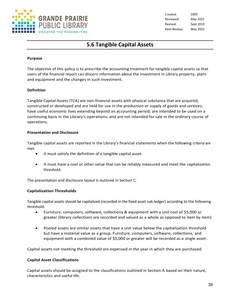

Created: 2009 Reviewed: May 2021 Revised: Sept 2019 Next Review: May 2023

# **5.6 Tangible Capital Assets**

### **Purpose**

The objective of this policy is to prescribe the accounting treatment for tangible capital assets so that users of the financial report can discern information about the investment in Library property, plant and equipment and the changes in such investment.

# **Definition**

Tangible Capital Assets (TCA) are non-financial assets with physical substance that are acquired, constructed or developed and are held for use in the production or supply of goods and services; have useful economic lives extending beyond an accounting period; are intended to be used on a continuing basis in the Library's operations; and are not intended for sale in the ordinary course of operations.

# **Presentation and Disclosure**

Tangible capital assets are reported in the Library's financial statements when the following criteria are met:

- It must satisfy the definition of a tangible capital asset.
- It must have a cost or other value that can be reliably measured and meet the capitalization threshold.

The presentation and disclosure layout is outlined in Section C.

# **Capitalization Thresholds**

Tangible capital assets should be capitalized (recorded in the fixed asset sub-ledger) according to the following threshold:

- Furniture, computers, software, collections & equipment with a unit cost of \$5,000 or greater (library collections are recorded and valued as a whole as opposed to item by item)
- Pooled assets are similar assets that have a unit value below the capitalization threshold but have a material value as a group. Furniture, computers, software, collections, and equipment with a combined value of \$5,000 or greater will be recorded as a single asset.

Capital assets not meeting the threshold are expensed in the year in which they are purchased.

#### **Capital Asset Classifications**

Capital assets should be assigned to the classifications outlined in Section A based on their nature, characteristics and useful life.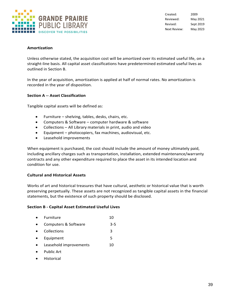

Created: 2009 Reviewed: May 2021 Revised: Sept 2019 Next Review: May 2023

# **Amortization**

Unless otherwise stated, the acquisition cost will be amortized over its estimated useful life, on a straight-line basis. All capital asset classifications have predetermined estimated useful lives as outlined in Section B.

In the year of acquisition, amortization is applied at half of normal rates. No amortization is recorded in the year of disposition.

# **Section A -- Asset Classification**

Tangible capital assets will be defined as:

- Furniture shelving, tables, desks, chairs, etc.
- Computers & Software computer hardware & software
- Collections All Library materials in print, audio and video
- Equipment photocopiers, fax machines, audiovisual, etc.
- Leasehold improvements

When equipment is purchased, the cost should include the amount of money ultimately paid, including ancillary charges such as transportation, installation, extended maintenance/warranty contracts and any other expenditure required to place the asset in its intended location and condition for use.

# **Cultural and Historical Assets**

Works of art and historical treasures that have cultural, aesthetic or historical value that is worth preserving perpetually. These assets are not recognized as tangible capital assets in the financial statements, but the existence of such property should be disclosed.

# **Section B - Capital Asset Estimated Useful Lives**

- Furniture 10
- Computers & Software 3-5
- Collections 3
- Equipment 5
- Leasehold improvements 10
- Public Art
- Historical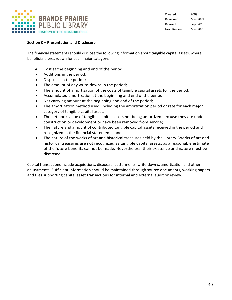

Created: 2009 Reviewed: May 2021 Revised: Sept 2019 Next Review: May 2023

# **Section C – Presentation and Disclosure**

The financial statements should disclose the following information about tangible capital assets, where beneficial a breakdown for each major category:

- Cost at the beginning and end of the period;
- Additions in the period;
- Disposals in the period;
- The amount of any write-downs in the period;
- The amount of amortization of the costs of tangible capital assets for the period;
- Accumulated amortization at the beginning and end of the period;
- Net carrying amount at the beginning and end of the period;
- The amortization method used, including the amortization period or rate for each major category of tangible capital asset;
- The net book value of tangible capital assets not being amortized because they are under construction or development or have been removed from service;
- The nature and amount of contributed tangible capital assets received in the period and recognized in the financial statements: and
- The nature of the works of art and historical treasures held by the Library. Works of art and historical treasures are not recognized as tangible capital assets, as a reasonable estimate of the future benefits cannot be made. Nevertheless, their existence and nature must be disclosed.

Capital transactions include acquisitions, disposals, betterments, write-downs, amortization and other adjustments. Sufficient information should be maintained through source documents, working papers and files supporting capital asset transactions for internal and external audit or review.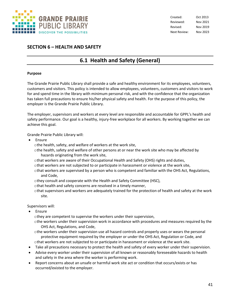

# **SECTION 6 – HEALTH AND SAFETY**

# **6.1 Health and Safety (General)**

#### **Purpose**

The Grande Prairie Public Library shall provide a safe and healthy environment for its employees, volunteers, customers and visitors. This policy is intended to allow employees, volunteers, customers and visitors to work for and spend time in the library with minimum personal risk, and with the confidence that the organization has taken full precautions to ensure his/her physical safety and health. For the purpose of this policy, the employer is the Grande Prairie Public Library.

The employer, supervisors and workers at every level are responsible and accountable for GPPL's health and safety performance. Our goal is a healthy, injury-free workplace for all workers. By working together we can achieve this goal.

Grande Prairie Public Library will:

• Ensure

othe health, safety, and welfare of workers at the work site,

othe health, safety and welfare of other persons at or near the work site who may be affected by hazards originating from the work site,

- othat workers are aware of their Occupational Health and Safety (OHS) rights and duties,
- othat workers are not subjected to or participate in harassment or violence at the work site,
- othat workers are supervised by a person who is competent and familiar with the OHS Act, Regulations, and Code,
- othey consult and cooperate with the Health and Safety Committee (HSC),
- othat health and safety concerns are resolved in a timely manner,
- othat supervisors and workers are adequately trained for the protection of health and safety at the work site.

Supervisors will:

**Ensure** 

othey are competent to supervise the workers under their supervision,

- othe workers under their supervision work in accordance with procedures and measures required by the OHS Act, Regulations, and Code,
- othe workers under their supervision use all hazard controls and properly uses or wears the personal protective equipment required by the employer or under the OHS Act, Regulation or Code, and othat workers are not subjected to or participate in harassment or violence at the work site.
- Take all precautions necessary to protect the health and safety of every worker under their supervision.
- Advise every worker under their supervision of all known or reasonably foreseeable hazards to health and safety in the area where the worker is performing work.
- Report concerns about an unsafe or harmful work site act or condition that occurs/exists or has occurred/existed to the employer.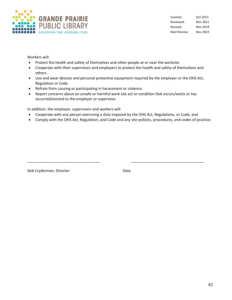

Created: Oct 2013 Reviewed: Nov 2021 Revised: Nov 2019 Next Review: Nov 2023

Workers will:

- Protect the health and safety of themselves and other people at or near the worksite.
- Cooperate with their supervisors and employers to protect the health and safety of themselves and others.
- Use and wear devices and personal protective equipment required by the employer or the OHS Act, Regulation or Code.
- Refrain from causing or participating in harassment or violence.
- Report concerns about an unsafe or harmful work site act or condition that occurs/exists or has occurred/existed to the employer or supervisor.

In addition, the employer, supervisors and workers will:

• Cooperate with any person exercising a duty imposed by the OHS Act, Regulations, or Code, and

\_\_\_\_\_\_\_\_\_\_\_\_\_\_\_\_\_\_\_\_\_\_\_\_\_\_\_\_\_\_\_\_\_\_\_ \_\_\_\_\_\_\_\_\_\_\_\_\_\_\_\_\_\_\_\_\_\_\_\_\_\_\_\_\_\_\_\_\_\_\_

• Comply with the OHS Act, Regulation, and Code and any site policies, procedures, and codes of practice.

Deb Cryderman, Director **Date** Date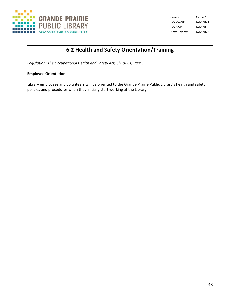

Created: Oct 2013 Reviewed: Nov 2021 Revised: Nov 2019 Next Review: Nov 2023

# **6.2 Health and Safety Orientation/Training**

*Legislation: The Occupational Health and Safety Act, Ch. 0-2.1, Part 5*

# **Employee Orientation**

Library employees and volunteers will be oriented to the Grande Prairie Public Library's health and safety policies and procedures when they initially start working at the Library.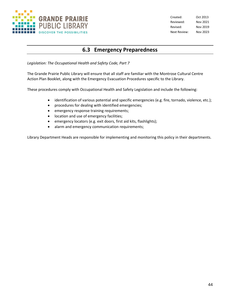

Created: Oct 2013 Reviewed: Nov 2021 Revised: Nov 2019 Next Review: Nov 2023

# **6.3 Emergency Preparedness**

*Legislation: The Occupational Health and Safety Code, Part 7*

The Grande Prairie Public Library will ensure that all staff are familiar with the Montrose Cultural Centre Action Plan Booklet, along with the Emergency Evacuation Procedures specific to the Library.

These procedures comply with Occupational Health and Safety Legislation and include the following:

- identification of various potential and specific emergencies (e.g. fire, tornado, violence, etc.);
- procedures for dealing with identified emergencies;
- emergency response training requirements;
- location and use of emergency facilities;
- emergency locators (e.g. exit doors, first aid kits, flashlights);
- alarm and emergency communication requirements;

Library Department Heads are responsible for implementing and monitoring this policy in their departments.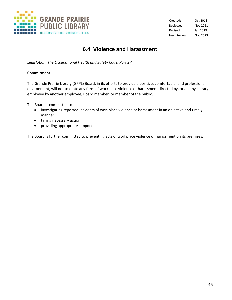

Created: Oct 2013 Reviewed: Nov 2021 Revised: Jan 2019 Next Review: Nov 2023

# **6.4 Violence and Harassment**

*Legislation: The Occupational Health and Safety Code, Part 27*

# **Commitment**

The Grande Prairie Library (GPPL) Board, in its efforts to provide a positive, comfortable, and professional environment, will not tolerate any form of workplace violence or harassment directed by, or at, any Library employee by another employee, Board member, or member of the public.

The Board is committed to:

- investigating reported incidents of workplace violence or harassment in an objective and timely manner
- taking necessary action
- providing appropriate support

The Board is further committed to preventing acts of workplace violence or harassment on its premises.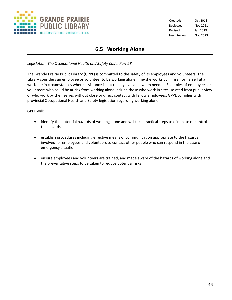

Created: Oct 2013 Reviewed: Nov 2021 Revised: Jan 2019 Next Review: Nov 2023

# **6.5 Working Alone**

*Legislation: The Occupational Health and Safety Code, Part 28*

The Grande Prairie Public Library (GPPL) is committed to the safety of its employees and volunteers. The Library considers an employee or volunteer to be working alone if he/she works by himself or herself at a work site in circumstances where assistance is not readily available when needed. Examples of employees or volunteers who could be at risk from working alone include those who work in sites isolated from public view or who work by themselves without close or direct contact with fellow employees. GPPL complies with provincial Occupational Health and Safety legislation regarding working alone.

GPPL will:

- identify the potential hazards of working alone and will take practical steps to eliminate or control the hazards
- establish procedures including effective means of communication appropriate to the hazards involved for employees and volunteers to contact other people who can respond in the case of emergency situation
- ensure employees and volunteers are trained, and made aware of the hazards of working alone and the preventative steps to be taken to reduce potential risks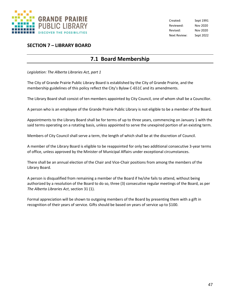

Created: Sept 1991 Reviewed: Nov 2020 Revised: Nov 2020 Next Review: Sept 2022

# **SECTION 7 – LIBRARY BOARD**

# **7.1 Board Membership**

*Legislation: The Alberta Libraries Act, part 1*

The City of Grande Prairie Public Library Board is established by the City of Grande Prairie, and the membership guidelines of this policy reflect the City's Bylaw C-651C and its amendments.

The Library Board shall consist of ten members appointed by City Council, one of whom shall be a Councillor.

A person who is an employee of the Grande Prairie Public Library is not eligible to be a member of the Board.

Appointments to the Library Board shall be for terms of up to three years, commencing on January 1 with the said terms operating on a rotating basis, unless appointed to serve the unexpired portion of an existing term.

Members of City Council shall serve a term, the length of which shall be at the discretion of Council.

A member of the Library Board is eligible to be reappointed for only two additional consecutive 3-year terms of office, unless approved by the Minister of Municipal Affairs under exceptional circumstances.

There shall be an annual election of the Chair and Vice-Chair positions from among the members of the Library Board.

A person is disqualified from remaining a member of the Board if he/she fails to attend, without being authorized by a resolution of the Board to do so, three (3) consecutive regular meetings of the Board, as per *The Alberta Libraries Act*, section 31 (1).

Formal appreciation will be shown to outgoing members of the Board by presenting them with a gift in recognition of their years of service. Gifts should be based on years of service up to \$100.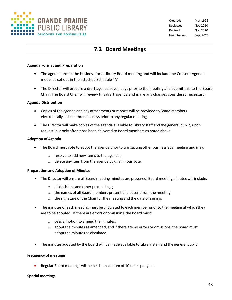

# **7.2 Board Meetings**

#### **Agenda Format and Preparation**

- The agenda orders the business for a Library Board meeting and will include the Consent Agenda model as set out in the attached Schedule "A".
- The Director will prepare a draft agenda seven days prior to the meeting and submit this to the Board Chair. The Board Chair will review this draft agenda and make any changes considered necessary**.**

#### **Agenda Distribution**

- Copies of the agenda and any attachments or reports will be provided to Board members electronically at least three full days prior to any regular meeting.
- The Director will make copies of the agenda available to Library staff and the general public, upon request, but only after it has been delivered to Board members as noted above.

#### **Adoption of Agenda**

- The Board must vote to adopt the agenda prior to transacting other business at a meeting and may:
	- o resolve to add new items to the agenda;
	- o delete any item from the agenda by unanimous vote.

#### **Preparation and Adoption of Minutes**

- The Director will ensure all Board meeting minutes are prepared. Board meeting minutes will include:
	- o all decisions and other proceedings;
	- o the names of all Board members present and absent from the meeting;
	- o the signature of the Chair for the meeting and the date of signing.
- The minutes of each meeting must be circulated to each member prior to the meeting at which they are to be adopted. If there are errors or omissions, the Board must:
	- o pass a motion to amend the minutes:
	- $\circ$  adopt the minutes as amended, and if there are no errors or omissions, the Board must adopt the minutes as circulated.
- The minutes adopted by the Board will be made available to Library staff and the general public.

#### **Frequency of meetings**

• Regular Board meetings will be held a maximum of 10 times per year.

#### **Special meetings**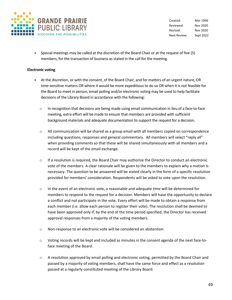

Created: Mar 1996 Reviewed: Nov 2020 Revised: Nov 2020 Next Review: Sept 2022

• Special meetings may be called at the discretion of the Board Chair or at the request of five (5) members, for the transaction of business as stated in the call for the meeting.

# **Electronic voting**

- At the discretion, or with the consent, of the Board Chair, and for matters of an urgent nature, OR time-sensitive matters OR where it would be more expeditious to do so OR when it is not feasible for the Board to meet in person, email polling and/or electronic voting may be used to help facilitate decisions of the Library Board in accordance with the following:
	- o In recognition that decisions are being made using email communication in lieu of a face-to-face meeting, extra effort will be made to ensure that members are provided with sufficient background materials and adequate documentation to support the request for a decision.
	- $\circ$  All communication will be shared as a group email with all members copied on correspondence including questions, responses and general commentary. All members will select "reply all" when providing comments so that these will be shared simultaneously with all members and a record will be kept of the email exchange.
	- $\circ$  If a resolution is required, the Board Chair may authorize the Director to conduct an electronic vote of the members. A clear rationale will be given to the members to explain why a motion is necessary. The question to be answered will be stated clearly in the form of a specific resolution provided for members' consideration. Respondents will be asked to vote upon the resolution.
	- $\circ$  In the event of an electronic vote, a reasonable and adequate time will be determined for members to respond to the request for a decision. Members will have the opportunity to declare a conflict and not participate in the vote. Every effort will be made to obtain a response from each member (i.e. allow each person to register their vote). The resolution shall be deemed to have been approved only if, by the end of the time period specified, the Director has received approval responses from a majority of the voting members.
	- o Non-response to an electronic vote will be considered an abstention.
	- $\circ$  Voting records will be kept and included as minutes in the consent agenda of the next face-toface meeting of the Board.
	- o A resolution approved by email polling and electronic voting, permitted by the Board Chair and passed by a majority of voting members, shall have the same force and effect as a resolution passed at a regularly constituted meeting of the Library Board.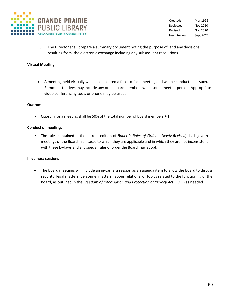

Created: Mar 1996 Reviewed: Nov 2020 Revised: Nov 2020 Next Review: Sept 2022

 $\circ$  The Director shall prepare a summary document noting the purpose of, and any decisions resulting from, the electronic exchange including any subsequent resolutions.

### **Virtual Meeting**

• A meeting held virtually will be considered a face-to-face meeting and will be conducted as such. Remote attendees may include any or all board members while some meet in-person. Appropriate video conferencing tools or phone may be used.

#### **Quorum**

• Quorum for a meeting shall be 50% of the total number of Board members + 1.

#### **Conduct of meetings**

• The rules contained in the current edition of *Robert's Rules of Order – Newly Revised*, shall govern meetings of the Board in all cases to which they are applicable and in which they are not inconsistent with these by-laws and any special rules of order the Board may adopt.

#### **In-camera sessions**

• The Board meetings will include an in-camera session as an agenda item to allow the Board to discuss security, legal matters, personnel matters, labour relations, or topics related to the functioning of the Board, as outlined in the *Freedom of Information and Protection of Privacy Act* (FOIP) as needed.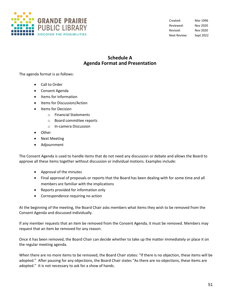

Created: Mar 1996 Reviewed: Nov 2020 Revised: Nov 2020 Next Review: Sept 2022

# **Schedule A Agenda Format and Presentation**

The agenda format is as follows:

- Call to Order
- Consent Agenda
- Items for information
- Items for Discussion/Action
- Items for Decision
	- o Financial Statements
	- o Board committee reports
	- o In-camera Discussion
- Other
- Next Meeting
- Adjournment

The Consent Agenda is used to handle items that do not need any discussion or debate and allows the Board to approve all these items together without discussion or individual motions. Examples include:

- Approval of the minutes
- Final approval of proposals or reports that the Board has been dealing with for some time and all members are familiar with the implications
- Reports provided for information only
- Correspondence requiring no action

At the beginning of the meeting, the Board Chair asks members what items they wish to be removed from the Consent Agenda and discussed individually.

If any member requests that an item be removed from the Consent Agenda, it must be removed. Members may request that an item be removed for any reason.

Once it has been removed, the Board Chair can decide whether to take up the matter immediately or place it on the regular meeting agenda.

When there are no more items to be removed, the Board Chair states: "If there is no objection, these items will be adopted." After pausing for any objections, the Board Chair states "As there are no objections, these items are adopted." It is not necessary to ask for a show of hands.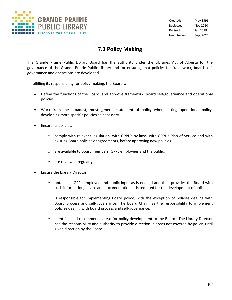

Created: May 1996 Reviewed: Nov 2020 Revised: Jan 2018 Next Review: Sept 2022

# **7.3 Policy Making**

The Grande Prairie Public Library Board has the authority under the Libraries Act of Alberta for the governance of the Grande Prairie Public Library and for ensuring that policies for framework, board selfgovernance and operations are developed.

In fulfilling its responsibility for policy-making, the Board will:

- Define the functions of the Board, and approve framework, board self-governance and operational policies.
- Work from the broadest, most general statement of policy when setting operational policy, developing more specific policies as necessary.
- Ensure its policies:
	- $\circ$  comply with relevant legislation, with GPPL's by-laws, with GPPL's Plan of Service and with existing Board policies or agreements, before approving new policies.
	- o are available to Board members, GPPL employees and the public.
	- o are reviewed regularly.
- Ensure the Library Director:
	- $\circ$  obtains all GPPL employee and public input as is needed and then provides the Board with such information, advice and documentation as is required for the development of policies.
	- $\circ$  is responsible for implementing Board policy, with the exception of policies dealing with Board process and self-governance. The Board Chair has the responsibility to implement policies dealing with board process and self-governance.
	- $\circ$  identifies and recommends areas for policy development to the Board. The Library Director has the responsibility and authority to provide direction in areas not covered by policy, until given direction by the Board.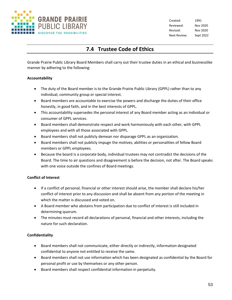

Created: 1991 Reviewed: Nov 2020 Revised: Nov 2020 Next Review: Sept 2022

# **7.4 Trustee Code of Ethics**

Grande Prairie Public Library Board Members shall carry out their trustee duties in an ethical and businesslike manner by adhering to the following:

# **Accountability**

- The duty of the Board member is to the Grande Prairie Public Library (GPPL) rather than to any individual, community group or special interest.
- Board members are accountable to exercise the powers and discharge the duties of their office honestly, in good faith, and in the best interests of GPPL.
- This accountability supersedes the personal interest of any Board member acting as an individual or consumer of GPPL services.
- Board members shall demonstrate respect and work harmoniously with each other, with GPPL employees and with all those associated with GPPL.
- Board members shall not publicly demean nor disparage GPPL as an organization.
- Board members shall not publicly impugn the motives, abilities or personalities of fellow Board members or GPPL employees.
- Because the board is a corporate body, individual trustees may not contradict the decisions of the Board. The time to air questions and disagreement is before the decision, not after. The Board speaks with one voice outside the confines of Board meetings.

# **Conflict of Interest**

- If a conflict of personal, financial or other interest should arise, the member shall declare his/her conflict of interest prior to any discussion and shall be absent from any portion of the meeting in which the matter is discussed and voted on.
- A Board member who abstains from participation due to conflict of interest is still included in determining quorum.
- The minutes must record all declarations of personal, financial and other interests, including the nature for such declaration.

# **Confidentiality**

- Board members shall not communicate, either directly or indirectly, information designated confidential to anyone not entitled to receive the same.
- Board members shall not use information which has been designated as confidential by the Board for personal profit or use by themselves or any other person.
- Board members shall respect confidential information in perpetuity.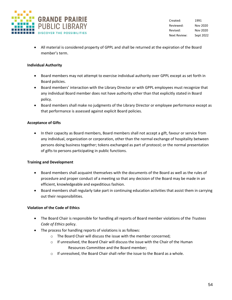

Created: 1991 Reviewed: Nov 2020 Revised: Nov 2020 Next Review: Sept 2022

• All material is considered property of GPPL and shall be returned at the expiration of the Board member's term.

# **Individual Authority**

- Board members may not attempt to exercise individual authority over GPPL except as set forth in Board policies.
- Board members' interaction with the Library Director or with GPPL employees must recognize that any individual Board member does not have authority other than that explicitly stated in Board policy.
- Board members shall make no judgments of the Library Director or employee performance except as that performance is assessed against explicit Board policies.

# **Acceptance of Gifts**

• In their capacity as Board members, Board members shall not accept a gift, favour or service from any individual, organization or corporation, other than the normal exchange of hospitality between persons doing business together; tokens exchanged as part of protocol; or the normal presentation of gifts to persons participating in public functions.

# **Training and Development**

- Board members shall acquaint themselves with the documents of the Board as well as the rules of procedure and proper conduct of a meeting so that any decision of the Board may be made in an efficient, knowledgeable and expeditious fashion.
- Board members shall regularly take part in continuing education activities that assist them in carrying out their responsibilities.

# **Violation of the Code of Ethics**

- The Board Chair is responsible for handling all reports of Board member violations of the *Trustees Code of Ethics* policy.
- The process for handling reports of violations is as follows:
	- o The Board Chair will discuss the issue with the member concerned;
	- $\circ$  If unresolved, the Board Chair will discuss the issue with the Chair of the Human Resources Committee and the Board member;
	- o If unresolved, the Board Chair shall refer the issue to the Board as a whole.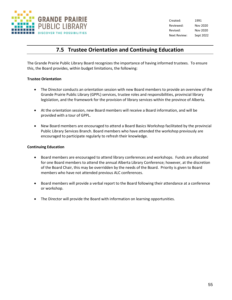

Created: 1991 Reviewed: Nov 2020 Revised: Nov 2020 Next Review: Sept 2022

# **7.5 Trustee Orientation and Continuing Education**

The Grande Prairie Public Library Board recognizes the importance of having informed trustees. To ensure this, the Board provides, within budget limitations, the following:

# **Trustee Orientation**

- The Director conducts an orientation session with new Board members to provide an overview of the Grande Prairie Public Library (GPPL) services, trustee roles and responsibilities, provincial library legislation, and the framework for the provision of library services within the province of Alberta.
- At the orientation session, new Board members will receive a Board information, and will be provided with a tour of GPPL.
- New Board members are encouraged to attend a Board Basics Workshop facilitated by the provincial Public Library Services Branch. Board members who have attended the workshop previously are encouraged to participate regularly to refresh their knowledge.

# **Continuing Education**

- Board members are encouraged to attend library conferences and workshops. Funds are allocated for one Board members to attend the annual Alberta Library Conference; however, at the discretion of the Board Chair, this may be overridden by the needs of the Board. Priority is given to Board members who have not attended previous ALC conferences.
- Board members will provide a verbal report to the Board following their attendance at a conference or workshop.
- The Director will provide the Board with information on learning opportunities.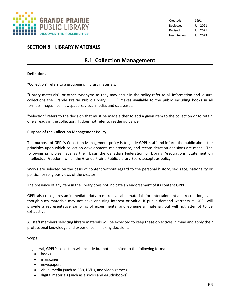

# **SECTION 8 – LIBRARY MATERIALS**

# **8.1 Collection Management**

# **Definitions**

"Collection" refers to a grouping of library materials.

"Library materials", or other synonyms as they may occur in the policy refer to all information and leisure collections the Grande Prairie Public Library (GPPL) makes available to the public including books in all formats, magazines, newspapers, visual media, and databases.

"Selection" refers to the decision that must be made either to add a given item to the collection or to retain one already in the collection. It does not refer to reader guidance.

# **Purpose of the Collection Management Policy**

The purpose of GPPL's Collection Management policy is to guide GPPL staff and inform the public about the principles upon which collection development, maintenance, and reconsideration decisions are made. The following principles have as their basis the Canadian Federation of Library Associations' Statement on Intellectual Freedom, which the Grande Prairie Public Library Board accepts as policy.

Works are selected on the basis of content without regard to the personal history, sex, race, nationality or political or religious views of the creator.

The presence of any item in the library does not indicate an endorsement of its content GPPL.

GPPL also recognizes an immediate duty to make available materials for entertainment and recreation, even though such materials may not have enduring interest or value. If public demand warrants it, GPPL will provide a representative sampling of experimental and ephemeral material, but will not attempt to be exhaustive.

All staff members selecting library materials will be expected to keep these objectives in mind and apply their professional knowledge and experience in making decisions.

#### **Scope**

In general, GPPL's collection will include but not be limited to the following formats:

- books
- magazines
- newspapers
- visual media (such as CDs, DVDs, and video games)
- digital materials (such as eBooks and eAudiobooks)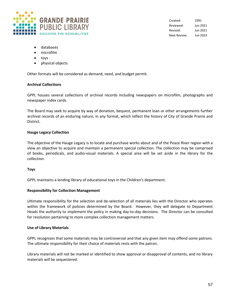

- databases
- microfilm
- toys
- physical objects

Other formats will be considered as demand, need, and budget permit.

#### **Archival Collections**

GPPL houses several collections of archival records including newspapers on microfilm, photographs and newspaper index cards.

The Board may seek to acquire by way of donation, bequest, permanent loan or other arrangements further archival records of an enduring nature, in any format, which reflect the history of City of Grande Prairie and District.

#### **Hauge Legacy Collection**

The objective of the Hauge Legacy is to locate and purchase works about and of the Peace River region with a view an objective to acquire and maintain a permanent special collection. The collection may be comprised of books, periodicals, and audio-visual materials. A special area will be set aside in the library for the collection.

#### **Toys**

GPPL maintains a lending library of educational toys in the Children's department.

#### **Responsibility for Collection Management**

Ultimate responsibility for the selection and de-selection of all materials lies with the Director who operates within the framework of policies determined by the Board. However, they will delegate to Department Heads the authority to implement the policy in making day-to-day decisions. The Director can be consulted for resolution pertaining to more complex collection management matters.

#### **Use of Library Materials**

GPPL recognizes that some materials may be controversial and that any given item may offend some patrons. The ultimate responsibility for their choice of materials rests with the patron.

Library materials will not be marked or identified to show approval or disapproval of contents, and no library materials will be sequestered.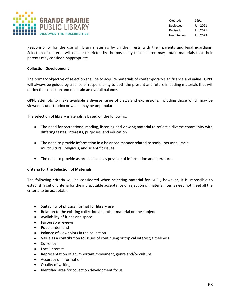

Responsibility for the use of library materials by children rests with their parents and legal guardians. Selection of material will not be restricted by the possibility that children may obtain materials that their parents may consider inappropriate.

# **Collection Development**

The primary objective of selection shall be to acquire materials of contemporary significance and value. GPPL will always be guided by a sense of responsibility to both the present and future in adding materials that will enrich the collection and maintain an overall balance.

GPPL attempts to make available a diverse range of views and expressions, including those which may be viewed as unorthodox or which may be unpopular.

The selection of library materials is based on the following:

- The need for recreational reading, listening and viewing material to reflect a diverse community with differing tastes, interests, purposes, and education
- The need to provide information in a balanced manner related to social, personal, racial, multicultural, religious, and scientific issues
- The need to provide as broad a base as possible of information and literature.

# **Criteria for the Selection of Materials**

The following criteria will be considered when selecting material for GPPL; however, it is impossible to establish a set of criteria for the indisputable acceptance or rejection of material. Items need not meet all the criteria to be acceptable.

- Suitability of physical format for library use
- Relation to the existing collection and other material on the subject
- Availability of funds and space
- Favourable reviews
- Popular demand
- Balance of viewpoints in the collection
- Value as a contribution to issues of continuing or topical interest; timeliness
- Currency
- Local interest
- Representation of an important movement, genre and/or culture
- Accuracy of information
- Quality of writing
- Identified area for collection development focus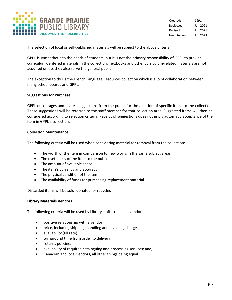

The selection of local or self-published materials will be subject to the above criteria.

GPPL is sympathetic to the needs of students, but it is not the primary responsibility of GPPL to provide curriculum-centered materials in the collection. Textbooks and other curriculum-related materials are not acquired unless they also serve the general public.

The exception to this is the French Language Resources collection which is a joint collaboration between many school boards and GPPL.

#### **Suggestions for Purchase**

GPPL encourages and invites suggestions from the public for the addition of specific items to the collection. These suggestions will be referred to the staff member for that collection area. Suggested items will then be considered according to selection criteria. Receipt of suggestions does not imply automatic acceptance of the item in GPPL's collection.

#### **Collection Maintenance**

The following criteria will be used when considering material for removal from the collection:

- The worth of the item in comparison to new works in the same subject areas
- The usefulness of the item to the public
- The amount of available space
- The item's currency and accuracy
- The physical condition of the item
- The availability of funds for purchasing replacement material

Discarded items will be sold, donated, or recycled.

#### **Library Materials Vendors**

The following criteria will be used by Library staff to select a vendor:

- positive relationship with a vendor;
- price, including shipping, handling and invoicing charges;
- availability (fill rate);
- turnaround time from order to delivery;
- returns policies;
- availability of required cataloguing and processing services; and,
- Canadian and local vendors, all other things being equal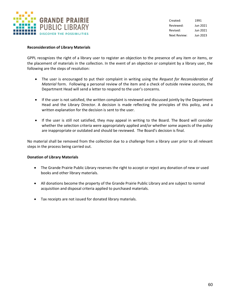

#### **Reconsideration of Library Materials**

GPPL recognizes the right of a library user to register an objection to the presence of any item or items, or the placement of materials in the collection. In the event of an objection or complaint by a library user, the following are the steps of resolution:

- The user is encouraged to put their complaint in writing using the *Request for Reconsideration of Material* form. Following a personal review of the item and a check of outside review sources, the Department Head will send a letter to respond to the user's concerns.
- If the user is not satisfied, the written complaint is reviewed and discussed jointly by the Department Head and the Library Director. A decision is made reflecting the principles of this policy, and a written explanation for the decision is sent to the user.
- If the user is still not satisfied, they may appeal in writing to the Board. The Board will consider whether the selection criteria were appropriately applied and/or whether some aspects of the policy are inappropriate or outdated and should be reviewed. The Board's decision is final.

No material shall be removed from the collection due to a challenge from a library user prior to all relevant steps in the process being carried out.

#### **Donation of Library Materials**

- The Grande Prairie Public Library reserves the right to accept or reject any donation of new or used books and other library materials.
- All donations become the property of the Grande Prairie Public Library and are subject to normal acquisition and disposal criteria applied to purchased materials.
- Tax receipts are not issued for donated library materials.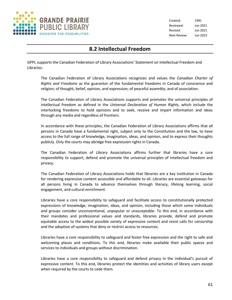

# **8.2 Intellectual Freedom**

GPPL supports the Canadian Federation of Library Associations' Statement on Intellectual Freedom and Libraries:

The Canadian Federation of Library Associations recognizes and values the *Canadian Charter of Rights and Freedoms* as the guarantor of the fundamental freedoms in Canada of conscience and religion; of thought, belief, opinion, and expression; of peaceful assembly; and of association.

The Canadian Federation of Library Associations supports and promotes the universal principles of intellectual freedom as defined in the *Universal Declaration of Human Rights*, which include the interlocking freedoms to hold opinions and to seek, receive and impart information and ideas through any media and regardless of frontiers.

In accordance with these principles, the Canadian Federation of Library Associations affirms that all persons in Canada have a fundamental right, subject only to the Constitution and the law, to have access to the full range of knowledge, imagination, ideas, and opinion, and to express their thoughts publicly. Only the courts may abridge free expression rights in Canada.

The Canadian Federation of Library Associations affirms further that libraries have a core responsibility to support, defend and promote the universal principles of intellectual freedom and privacy.

The Canadian Federation of Library Associations holds that libraries are a key institution in Canada for rendering expressive content accessible and affordable to all. Libraries are essential gateways for all persons living in Canada to advance themselves through literacy, lifelong learning, social engagement, and cultural enrichment.

Libraries have a core responsibility to safeguard and facilitate access to constitutionally protected expressions of knowledge, imagination, ideas, and opinion, including those which some individuals and groups consider unconventional, unpopular or unacceptable. To this end, in accordance with their mandates and professional values and standards, libraries provide, defend and promote equitable access to the widest possible variety of expressive content and resist calls for censorship and the adoption of systems that deny or restrict access to resources.

Libraries have a core responsibility to safeguard and foster free expression and the right to safe and welcoming places and conditions. To this end, libraries make available their public spaces and services to individuals and groups without discrimination.

Libraries have a core responsibility to safeguard and defend privacy in the individual's pursuit of expressive content. To this end, libraries protect the identities and activities of library users except when required by the courts to cede them.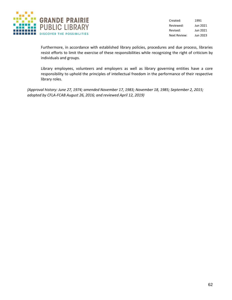

Furthermore, in accordance with established library policies, procedures and due process, libraries resist efforts to limit the exercise of these responsibilities while recognizing the right of criticism by individuals and groups.

Library employees, volunteers and employers as well as library governing entities have a core responsibility to uphold the principles of intellectual freedom in the performance of their respective library roles.

*(Approval history: June 27, 1974; amended November 17, 1983; November 18, 1985; September 2, 2015; adopted by CFLA-FCAB August 26, 2016; and reviewed April 12, 2019)*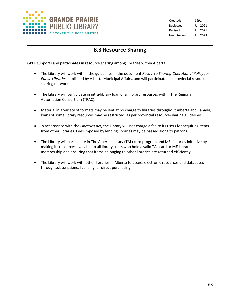

# **8.3 Resource Sharing**

GPPL supports and participates in resource sharing among libraries within Alberta.

- The Library will work within the guidelines in the document *Resource Sharing Operational Policy for Public Libraries* published by Alberta Municipal Affairs, and will participate in a provincial resource sharing network.
- The Library will participate in intra-library loan of all library resources within The Regional Automation Consortium (TRAC).
- Material in a variety of formats may be lent at no charge to libraries throughout Alberta and Canada; loans of some library resources may be restricted, as per provincial resource-sharing guidelines.
- In accordance with the *Libraries Act*, the Library will not charge a fee to its users for acquiring items from other libraries. Fees imposed by lending libraries may be passed along to patrons.
- The Library will participate in The Alberta Library (TAL) card program and ME Libraries initiative by making its resources available to all library users who hold a valid TAL card or ME Libraries membership and ensuring that items belonging to other libraries are returned efficiently.
- The Library will work with other libraries in Alberta to access electronic resources and databases through subscriptions, licensing, or direct purchasing.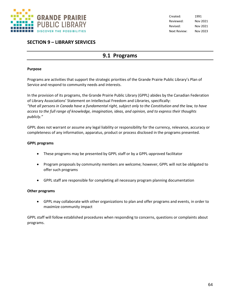

# **SECTION 9 – LIBRARY SERVICES**

# **9.1 Programs**

### **Purpose**

Programs are activities that support the strategic priorities of the Grande Prairie Public Library's Plan of Service and respond to community needs and interests.

In the provision of its programs, the Grande Prairie Public Library (GPPL) abides by the Canadian Federation of Library Associations' Statement on Intellectual Freedom and Libraries, specifically: *"that all persons in Canada have a fundamental right, subject only to the Constitution and the law, to have access to the full range of knowledge, imagination, ideas, and opinion, and to express their thoughts publicly."*

GPPL does not warrant or assume any legal liability or responsibility for the currency, relevance, accuracy or completeness of any information, apparatus, product or process disclosed in the programs presented.

# **GPPL programs**

- These programs may be presented by GPPL staff or by a GPPL-approved facilitator
- Program proposals by community members are welcome; however, GPPL will not be obligated to offer such programs
- GPPL staff are responsible for completing all necessary program planning documentation

# **Other programs**

• GPPL may collaborate with other organizations to plan and offer programs and events, in order to maximize community impact

GPPL staff will follow established procedures when responding to concerns, questions or complaints about programs.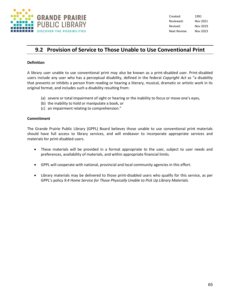

# **9.2 Provision of Service to Those Unable to Use Conventional Print**

# **Definition**

A library user unable to use conventional print may also be known as a print-disabled user. Print-disabled users include any user who has a perceptual disability, defined in the federal *Copyright Act* as "a disability that prevents or inhibits a person from reading or hearing a literary, musical, dramatic or artistic work in its original format, and includes such a disability resulting from:

- (a) severe or total impairment of sight or hearing or the inability to focus or move one's eyes,
- (b) the inability to hold or manipulate a book, or
- (c) an impairment relating to comprehension."

#### **Commitment**

The Grande Prairie Public Library (GPPL) Board believes those unable to use conventional print materials should have full access to library services, and will endeavor to incorporate appropriate services and materials for print-disabled users.

- These materials will be provided in a format appropriate to the user, subject to user needs and preferences, availability of materials, and within appropriate financial limits.
- GPPL will cooperate with national, provincial and local community agencies in this effort.
- Library materials may be delivered to those print-disabled users who qualify for this service, as per GPPL's policy *9.4 Home Service for Those Physically Unable to Pick Up Library Materials.*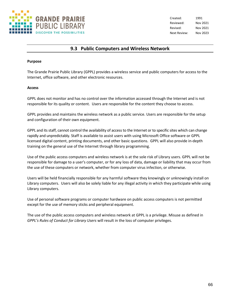

Created: 1991 Reviewed: Nov 2021 Revised: Nov 2021 Next Review: Nov 2023

# **9.3 Public Computers and Wireless Network**

#### **Purpose**

The Grande Prairie Public Library (GPPL) provides a wireless service and public computers for access to the Internet, office software, and other electronic resources.

#### **Access**

GPPL does not monitor and has no control over the information accessed through the Internet and is not responsible for its quality or content. Users are responsible for the content they choose to access.

GPPL provides and maintains the wireless network as a public service. Users are responsible for the setup and configuration of their own equipment.

GPPL and its staff, cannot control the availability of access to the Internet or to specific sites which can change rapidly and unpredictably. Staff is available to assist users with using Microsoft Office software or GPPL licensed digital content, printing documents, and other basic questions. GPPL will also provide in-depth training on the general use of the Internet through library programming.

Use of the public access computers and wireless network is at the sole risk of Library users. GPPL will not be responsible for damage to a user's computer, or for any loss of data, damage or liability that may occur from the use of these computers or network, whether from computer virus infection, or otherwise.

Users will be held financially responsible for any harmful software they knowingly or unknowingly install on Library computers. Users will also be solely liable for any illegal activity in which they participate while using Library computers.

Use of personal software programs or computer hardware on public access computers is not permitted except for the use of memory sticks and peripheral equipment.

The use of the public access computers and wireless network at GPPL is a privilege. Misuse as defined in *GPPL's Rules of Conduct for Library Users* will result in the loss of computer privileges.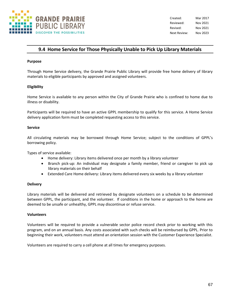

Created: Mar 2017 Reviewed: Nov 2021 Revised: Nov 2021 Next Review: Nov 2023

# **9.4 Home Service for Those Physically Unable to Pick Up Library Materials**

#### **Purpose**

Through Home Service delivery, the Grande Prairie Public Library will provide free home delivery of library materials to eligible participants by approved and assigned volunteers.

#### **Eligibility**

Home Service is available to any person within the City of Grande Prairie who is confined to home due to illness or disability.

Participants will be required to have an active GPPL membership to qualify for this service. A Home Service delivery application form must be completed requesting access to this service.

#### **Service**

All circulating materials may be borrowed through Home Service; subject to the conditions of GPPL's borrowing policy.

Types of service available:

- Home delivery: Library items delivered once per month by a library volunteer
- Branch pick-up: An individual may designate a family member, friend or caregiver to pick up library materials on their behalf
- Extended Care Home delivery: Library items delivered every six weeks by a library volunteer

#### **Delivery**

Library materials will be delivered and retrieved by designate volunteers on a schedule to be determined between GPPL, the participant, and the volunteer. If conditions in the home or approach to the home are deemed to be unsafe or unhealthy, GPPL may discontinue or refuse service.

#### **Volunteers**

Volunteers will be required to provide a vulnerable sector police record check prior to working with this program, and on an annual basis. Any costs associated with such checks will be reimbursed by GPPL. Prior to beginning their work, volunteers must attend an orientation session with the Customer Experience Specialist.

Volunteers are required to carry a cell phone at all times for emergency purposes.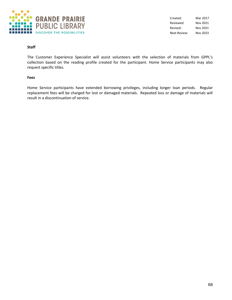

# **Staff**

The Customer Experience Specialist will assist volunteers with the selection of materials from GPPL's collection based on the reading profile created for the participant. Home Service participants may also request specific titles.

### **Fees**

Home Service participants have extended borrowing privileges, including longer loan periods. Regular replacement fees will be charged for lost or damaged materials. Repeated loss or damage of materials will result in a discontinuation of service.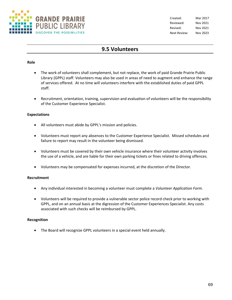

# **9.5 Volunteers**

# **Role**

- The work of volunteers shall complement, but not replace, the work of paid Grande Prairie Public Library (GPPL) staff. Volunteers may also be used in areas of need to augment and enhance the range of services offered. At no time will volunteers interfere with the established duties of paid GPPL staff.
- Recruitment, orientation, training, supervision and evaluation of volunteers will be the responsibility of the Customer Experience Specialist.

# **Expectations**

- All volunteers must abide by GPPL's mission and policies.
- Volunteers must report any absences to the Customer Experience Specialist. Missed schedules and failure to report may result in the volunteer being dismissed.
- Volunteers must be covered by their own vehicle insurance where their volunteer activity involves the use of a vehicle, and are liable for their own parking tickets or fines related to driving offences.
- Volunteers may be compensated for expenses incurred, at the discretion of the Director.

# **Recruitment**

- Any individual interested in becoming a volunteer must complete a *Volunteer Application Form*.
- Volunteers will be required to provide a vulnerable sector police record check prior to working with GPPL, and on an annual basis at the digression of the Customer Experiences Specialist. Any costs associated with such checks will be reimbursed by GPPL.

# **Recognition**

• The Board will recognize GPPL volunteers in a special event held annually.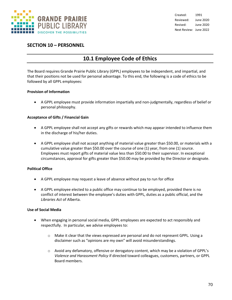

# **SECTION 10 – PERSONNEL**

# **10.1 Employee Code of Ethics**

The Board requires Grande Prairie Public Library (GPPL) employees to be independent, and impartial, and that their positions not be used for personal advantage. To this end, the following is a code of ethics to be followed by all GPPL employees:

# **Provision of Information**

• A GPPL employee must provide information impartially and non-judgmentally, regardless of belief or personal philosophy.

# **Acceptance of Gifts / Financial Gain**

- A GPPL employee shall not accept any gifts or rewards which may appear intended to influence them in the discharge of his/her duties.
- A GPPL employee shall not accept anything of material value greater than \$50.00, or materials with a cumulative value greater than \$50.00 over the course of one (1) year, from one (1) source. Employees must report gifts of material value less than \$50.00 to their supervisor. In exceptional circumstances, approval for gifts greater than \$50.00 may be provided by the Director or designate.

# **Political Office**

- A GPPL employee may request a leave of absence without pay to run for office
- A GPPL employee elected to a public office may continue to be employed, provided there is no conflict of interest between the employee's duties with GPPL, duties as a public official, and the *Libraries Act* of Alberta.

# **Use of Social Media**

- When engaging in personal social media, GPPL employees are expected to act responsibly and respectfully. In particular, we advise employees to:
	- o Make it clear that the views expressed are personal and do not represent GPPL. Using a disclaimer such as "opinions are my own" will avoid misunderstandings.
	- $\circ$  Avoid any defamatory, offensive or derogatory content, which may be a violation of GPPL's *Violence and Harassment Policy* if directed toward colleagues, customers, partners, or GPPL Board members.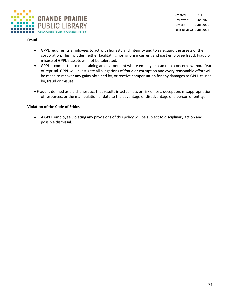

### **Fraud**

- GPPL requires its employees to act with honesty and integrity and to safeguard the assets of the corporation. This includes neither facilitating nor ignoring current and past employee fraud. Fraud or misuse of GPPL's assets will not be tolerated.
- GPPL is committed to maintaining an environment where employees can raise concerns without fear of reprisal. GPPL will investigate all allegations of fraud or corruption and every reasonable effort will be made to recover any gains obtained by, or receive compensation for any damages to GPPL caused by, fraud or misuse.
- Fraud is defined as a dishonest act that results in actual loss or risk of loss, deception, misappropriation of resources, or the manipulation of data to the advantage or disadvantage of a person or entity.

## **Violation of the Code of Ethics**

• A GPPL employee violating any provisions of this policy will be subject to disciplinary action and possible dismissal.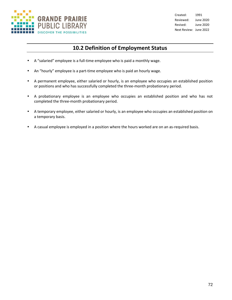

# **10.2 Definition of Employment Status**

- A "salaried" employee is a full-time employee who is paid a monthly wage.
- An "hourly" employee is a part-time employee who is paid an hourly wage.
- A permanent employee, either salaried or hourly, is an employee who occupies an established position or positions and who has successfully completed the three-month probationary period.
- A probationary employee is an employee who occupies an established position and who has not completed the three-month probationary period.
- A temporary employee, either salaried or hourly, is an employee who occupies an established position on a temporary basis.
- A casual employee is employed in a position where the hours worked are on an as-required basis.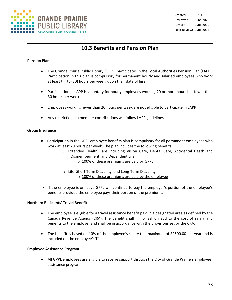

## **10.3 Benefits and Pension Plan**

#### **Pension Plan**

- The Grande Prairie Public Library (GPPL) participates in the Local Authorities Pension Plan (LAPP). Participation in this plan is compulsory for permanent hourly and salaried employees who work at least thirty (30) hours per week, upon their date of hire.
- Participation in LAPP is voluntary for hourly employees working 20 or more hours but fewer than 30 hours per week.
- Employees working fewer than 20 hours per week are not eligible to participate in LAPP
- Any restrictions to member contributions will follow LAPP guidelines.

#### **Group Insurance**

- Participation in the GPPL employee benefits plan is compulsory for all permanent employees who work at least 20 hours per week. The plan includes the following benefits:
	- o Extended Health Care including Vision Care, Dental Care, Accidental Death and Dismemberment, and Dependent Life
		- o 100% of these premiums are paid by GPPL
	- o Life, Short Term Disability, and Long-Term Disability  $\circ$  100% of these premiums are paid by the employee
- If the employee is on leave GPPL will continue to pay the employer's portion of the employee's benefits provided the employee pays their portion of the premiums.

#### **Northern Residents' Travel Benefit**

- The employee is eligible for a travel assistance benefit paid in a designated area as defined by the Canada Revenue Agency (CRA). The benefit shall in no fashion add to the cost of salary and benefits to the employer and shall be in accordance with the provisions set by the CRA.
- The benefit is based on 10% of the employee's salary to a maximum of \$2500.00 per year and is included on the employee's T4.

#### **Employee Assistance Program**

• All GPPL employees are eligible to receive support through the City of Grande Prairie's employee assistance program.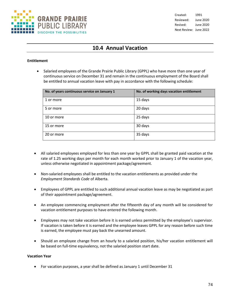

## **10.4 Annual Vacation**

#### **Entitlement**

• Salaried employees of the Grande Prairie Public Library (GPPL) who have more than one year of continuous service on December 31 and remain in the continuous employment of the Board shall be entitled to annual vacation leave with pay in accordance with the following schedule:

| No. of years continuous service on January 1 | No. of working days vacation entitlement |
|----------------------------------------------|------------------------------------------|
| 1 or more                                    | 15 days                                  |
| 5 or more                                    | 20 days                                  |
| 10 or more                                   | 25 days                                  |
| 15 or more                                   | 30 days                                  |
| 20 or more                                   | 35 days                                  |

- All salaried employees employed for less than one year by GPPL shall be granted paid vacation at the rate of 1.25 working days per month for each month worked prior to January 1 of the vacation year, unless otherwise negotiated in appointment package/agreement.
- Non-salaried employees shall be entitled to the vacation entitlements as provided under the *Employment Standards Code* of Alberta.
- Employees of GPPL are entitled to such additional annual vacation leave as may be negotiated as part of their appointment package/agreement.
- An employee commencing employment after the fifteenth day of any month will be considered for vacation entitlement purposes to have entered the following month.
- Employees may not take vacation before it is earned unless permitted by the employee's supervisor. If vacation is taken before it is earned and the employee leaves GPPL for any reason before such time is earned, the employee must pay back the unearned amount.
- Should an employee change from an hourly to a salaried position, his/her vacation entitlement will be based on full-time equivalency, not the salaried position start date.

## **Vacation Year**

• For vacation purposes, a year shall be defined as January 1 until December 31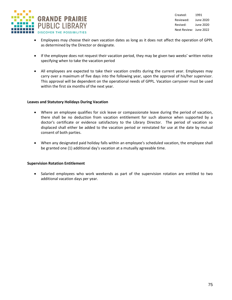

- Employees may choose their own vacation dates as long as it does not affect the operation of GPPL as determined by the Director or designate.
- If the employee does not request their vacation period, they may be given two weeks' written notice specifying when to take the vacation period
- All employees are expected to take their vacation credits during the current year. Employees may carry over a maximum of five days into the following year, upon the approval of his/her supervisor. This approval will be dependent on the operational needs of GPPL. Vacation carryover must be used within the first six months of the next year.

#### **Leaves and Statutory Holidays During Vacation**

- Where an employee qualifies for sick leave or compassionate leave during the period of vacation, there shall be no deduction from vacation entitlement for such absence when supported by a doctor's certificate or evidence satisfactory to the Library Director. The period of vacation so displaced shall either be added to the vacation period or reinstated for use at the date by mutual consent of both parties.
- When any designated paid holiday falls within an employee's scheduled vacation, the employee shall be granted one (1) additional day's vacation at a mutually agreeable time.

#### **Supervision Rotation Entitlement**

• Salaried employees who work weekends as part of the supervision rotation are entitled to two additional vacation days per year.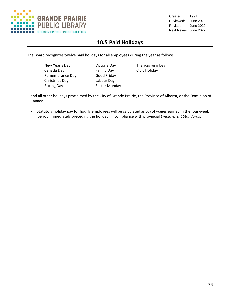

# **10.5 Paid Holidays**

The Board recognizes twelve paid holidays for all employees during the year as follows:

New Year's Day **Victoria Day** Thanksgiving Day Canada Day **Family Day** Civic Holiday Remembrance Day Good Friday Christmas Day Labour Day Boxing Day **Easter Monday** 

and all other holidays proclaimed by the City of Grande Prairie, the Province of Alberta, or the Dominion of Canada.

• Statutory holiday pay for hourly employees will be calculated as 5% of wages earned in the four-week period immediately preceding the holiday, in compliance with provincial *Employment Standards*.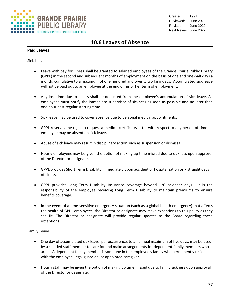

## **10.6 Leaves of Absence**

## **Paid Leaves**

## Sick Leave

- Leave with pay for illness shall be granted to salaried employees of the Grande Prairie Public Library (GPPL) in the second and subsequent months of employment on the basis of one and one-half days a month, cumulative to a maximum of one hundred and twenty working days. Accumulated sick leave will not be paid out to an employee at the end of his or her term of employment.
- Any lost time due to illness shall be deducted from the employee's accumulation of sick leave. All employees must notify the immediate supervisor of sickness as soon as possible and no later than one hour past regular starting time.
- Sick leave may be used to cover absence due to personal medical appointments.
- GPPL reserves the right to request a medical certificate/letter with respect to any period of time an employee may be absent on sick leave.
- Abuse of sick leave may result in disciplinary action such as suspension or dismissal.
- Hourly employees may be given the option of making up time missed due to sickness upon approval of the Director or designate.
- GPPL provides Short Term Disability immediately upon accident or hospitalization or 7 straight days of illness.
- GPPL provides Long Term Disability Insurance coverage beyond 120 calendar days. It is the responsibility of the employee receiving Long Term Disability to maintain premiums to ensure benefits coverage.
- In the event of a time-sensitive emergency situation (such as a global health emergency) that affects the health of GPPL employees, the Director or designate may make exceptions to this policy as they see fit. The Director or designate will provide regular updates to the Board regarding these exceptions.

## Family Leave

- One day of accumulated sick leave, per occurrence, to an annual maximum of five days, may be used by a salaried staff member to care for and make arrangements for dependent family members who are ill. A dependent family member is someone in the employee's family who permanently resides with the employee, legal guardian, or appointed caregiver.
- Hourly staff may be given the option of making up time missed due to family sickness upon approval of the Director or designate.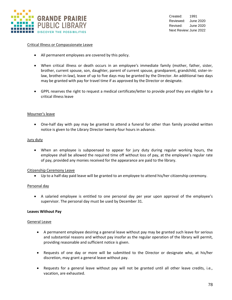

### Critical Illness or Compassionate Leave

- All permanent employees are covered by this policy.
- When critical illness or death occurs in an employee's immediate family (mother, father, sister, brother, current spouse, son, daughter, parent of current spouse, grandparent, grandchild, sister-inlaw, brother-in-law), leave of up to five days may be granted by the Director. An additional two days may be granted with pay for travel time if as approved by the Director or designate.
- GPPL reserves the right to request a medical certificate/letter to provide proof they are eligible for a critical illness leave

#### Mourner's leave

• One-half day with pay may be granted to attend a funeral for other than family provided written notice is given to the Library Director twenty-four hours in advance.

#### Jury duty

• When an employee is subpoenaed to appear for jury duty during regular working hours, the employee shall be allowed the required time off without loss of pay, at the employee's regular rate of pay, provided any monies received for the appearance are paid to the library.

#### Citizenship Ceremony Leave

• Up to a half-day paid leave will be granted to an employee to attend his/her citizenship ceremony.

#### Personal day

• A salaried employee is entitled to one personal day per year upon approval of the employee's supervisor. The personal day must be used by December 31.

#### **Leaves Without Pay**

#### General Leave

- A permanent employee desiring a general leave without pay may be granted such leave for serious and substantial reasons and without pay insofar as the regular operation of the library will permit, providing reasonable and sufficient notice is given.
- Requests of one day or more will be submitted to the Director or designate who, at his/her discretion, may grant a general leave without pay.
- Requests for a general leave without pay will not be granted until all other leave credits, i.e., vacation, are exhausted.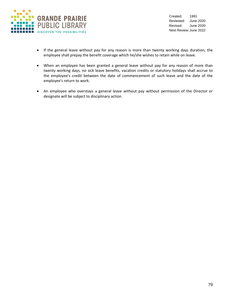

- If the general leave without pay for any reason is more than twenty working days duration, the employee shall prepay the benefit coverage which he/she wishes to retain while on leave.
- When an employee has been granted a general leave without pay for any reason of more than twenty working days, no sick leave benefits, vacation credits or statutory holidays shall accrue to the employee's credit between the date of commencement of such leave and the date of the employee's return to work.
- An employee who overstays a general leave without pay without permission of the Director or designate will be subject to disciplinary action.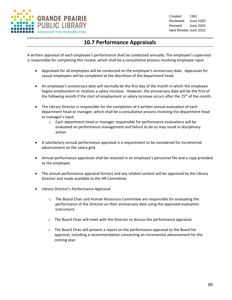

## **10.7 Performance Appraisals**

A written appraisal of each employee's performance shall be conducted annually. The employee's supervisor is responsible for completing this review, which shall be a consultative process involving employee input.

- Appraisals for all employees will be conducted on the employee's anniversary date. Appraisals for casual employees will be completed at the discretion of the department head.
- An employee's anniversary date will normally be the first day of the month in which the employee begins employment or receives a salary increase. However, the anniversary date will be the first of the following month if the start of employment or salary increase occurs after the 15<sup>th</sup> of the month.
- The Library Director is responsible for the completion of a written annual evaluation of each department head or manager, which shall be a consultative process involving the department head or manager's input.
	- $\circ$  Each department head or manager responsible for performance evaluations will be evaluated on performance management and failure to do so may result in disciplinary action.
- A satisfactory annual performance appraisal is a requirement to be considered for incremental advancement on the salary grid.
- Annual performance appraisals shall be retained in an employee's personnel file and a copy provided to the employee.
- The annual performance appraisal form(s) and any related content will be approved by the Library Director and made available to the HR Committee.
- Library Director's Performance Appraisal
	- o The Board Chair and Human Resources Committee are responsible for evaluating the performance of the Director on their anniversary date using the approved evaluation instrument.
	- $\circ$  The Board Chair will meet with the Director to discuss the performance appraisal.
	- $\circ$  The Board Chair will present a report on the performance appraisal to the Board for approval, including a recommendation concerning an incremental advancement for the coming year.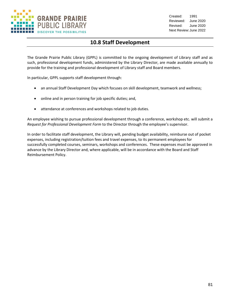

# **10.8 Staff Development**

The Grande Prairie Public Library (GPPL) is committed to the ongoing development of Library staff and as such, professional development funds, administered by the Library Director, are made available annually to provide for the training and professional development of Library staff and Board members.

In particular, GPPL supports staff development through:

- an annual Staff Development Day which focuses on skill development, teamwork and wellness;
- online and in person training for job specific duties; and,
- attendance at conferences and workshops related to job duties.

An employee wishing to pursue professional development through a conference, workshop etc. will submit a *Request for Professional Development Form* to the Director through the employee's supervisor.

In order to facilitate staff development, the Library will, pending budget availability, reimburse out of pocket expenses, including registration/tuition fees and travel expenses, to its permanent employees for successfully completed courses, seminars, workshops and conferences. These expenses must be approved in advance by the Library Director and, where applicable, will be in accordance with the Board and Staff Reimbursement Policy.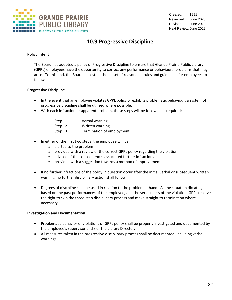

## **10.9 Progressive Discipline**

#### **Policy Intent**

The Board has adopted a policy of Progressive Discipline to ensure that Grande Prairie Public Library (GPPL) employees have the opportunity to correct any performance or behavioural problems that may arise. To this end, the Board has established a set of reasonable rules and guidelines for employees to follow.

#### **Progressive Discipline**

- In the event that an employee violates GPPL policy or exhibits problematic behaviour, a system of progressive discipline shall be utilized where possible.
- With each infraction or apparent problem, these steps will be followed as required:

| Step 1        | Verbal warning  |
|---------------|-----------------|
| Step 2        | Written warning |
| $\sim$ $\sim$ |                 |

- Step 3 Termination of employment
- In either of the first two steps, the employee will be:
	- o alerted to the problem
	- o provided with a review of the correct GPPL policy regarding the violation
	- o advised of the consequences associated further infractions
	- o provided with a suggestion towards a method of improvement
- If no further infractions of the policy in question occur after the initial verbal or subsequent written warning, no further disciplinary action shall follow.
- Degrees of discipline shall be used in relation to the problem at hand. As the situation dictates, based on the past performances of the employee, and the seriousness of the violation, GPPL reserves the right to skip the three-step disciplinary process and move straight to termination where necessary.

## **Investigation and Documentation**

- Problematic behavior or violations of GPPL policy shall be properly investigated and documented by the employee's supervisor and / or the Library Director.
- All measures taken in the progressive disciplinary process shall be documented, including verbal warnings.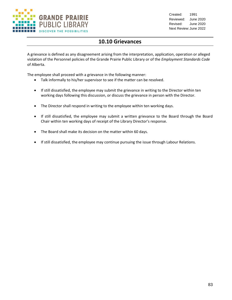

## **10.10 Grievances**

A grievance is defined as any disagreement arising from the interpretation, application, operation or alleged violation of the Personnel policies of the Grande Prairie Public Library or of the *Employment Standards Code* of Alberta.

The employee shall proceed with a grievance in the following manner:

- Talk informally to his/her supervisor to see if the matter can be resolved.
- If still dissatisfied, the employee may submit the grievance in writing to the Director within ten working days following this discussion, or discuss the grievance in person with the Director.
- The Director shall respond in writing to the employee within ten working days.
- If still dissatisfied, the employee may submit a written grievance to the Board through the Board Chair within ten working days of receipt of the Library Director's response.
- The Board shall make its decision on the matter within 60 days.
- If still dissatisfied, the employee may continue pursuing the issue through Labour Relations.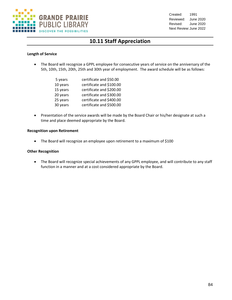

# **10.11 Staff Appreciation**

## **Length of Service**

• The Board will recognize a GPPL employee for consecutive years of service on the anniversary of the 5th, 10th, 15th, 20th, 25th and 30th year of employment. The award schedule will be as follows:

| 5 years  | certificate and \$50.00  |
|----------|--------------------------|
| 10 years | certificate and \$100.00 |
| 15 years | certificate and \$200.00 |
| 20 years | certificate and \$300.00 |
| 25 years | certificate and \$400.00 |
| 30 years | certificate and \$500.00 |

• Presentation of the service awards will be made by the Board Chair or his/her designate at such a time and place deemed appropriate by the Board.

## **Recognition upon Retirement**

• The Board will recognize an employee upon retirement to a maximum of \$100

### **Other Recognition**

• The Board will recognize special achievements of any GPPL employee, and will contribute to any staff function in a manner and at a cost considered appropriate by the Board.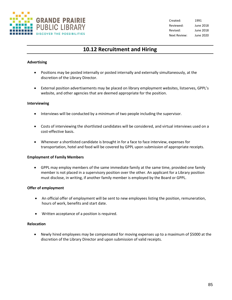

## **10.12 Recruitment and Hiring**

## **Advertising**

- Positions may be posted internally or posted internally and externally simultaneously, at the discretion of the Library Director.
- External position advertisements may be placed on library employment websites, listserves, GPPL's website, and other agencies that are deemed appropriate for the position.

#### **Interviewing**

- Interviews will be conducted by a minimum of two people including the supervisor.
- Costs of interviewing the shortlisted candidates will be considered, and virtual interviews used on a cost-effective basis.
- Whenever a shortlisted candidate is brought in for a face to face interview, expenses for transportation, hotel and food will be covered by GPPL upon submission of appropriate receipts.

#### **Employment of Family Members**

• GPPL may employ members of the same immediate family at the same time, provided one family member is not placed in a supervisory position over the other. An applicant for a Library position must disclose, in writing, if another family member is employed by the Board or GPPL.

#### **Offer of employment**

- An official offer of employment will be sent to new employees listing the position, remuneration, hours of work, benefits and start date.
- Written acceptance of a position is required.

#### **Relocation**

• Newly hired employees may be compensated for moving expenses up to a maximum of \$5000 at the discretion of the Library Director and upon submission of valid receipts.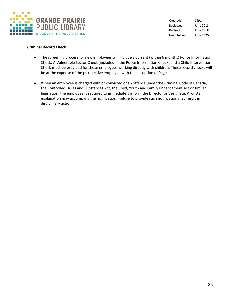

### **Criminal Record Check**

- The screening process for new employees will include a current (within 6 months) Police Information Check. A Vulnerable Sector Check (included in the Police Information Check) and a Child Intervention Check must be provided for those employees working directly with children. These record checks will be at the expense of the prospective employee with the exception of Pages.
- When an employee is charged with or convicted of an offence under the Criminal Code of Canada, the Controlled Drugs and Substances Act, the Child, Youth and Family Enhancement Act or similar legislation, the employee is required to immediately inform the Director or designate. A written explanation may accompany the notification. Failure to provide such notification may result in disciplinary action.